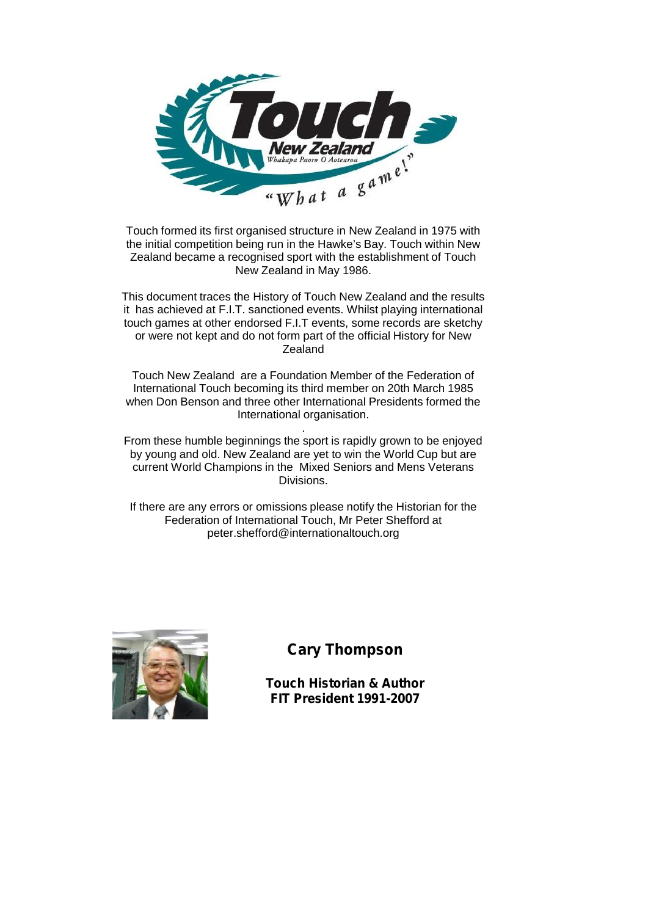

Touch formed its first organised structure in New Zealand in 1975 with the initial competition being run in the Hawke's Bay. Touch within New Zealand became a recognised sport with the establishment of Touch New Zealand in May 1986.

This document traces the History of Touch New Zealand and the results it has achieved at F.I.T. sanctioned events. Whilst playing international touch games at other endorsed F.I.T events, some records are sketchy or were not kept and do not form part of the official History for New **Zealand** 

Touch New Zealand are a Foundation Member of the Federation of International Touch becoming its third member on 20th March 1985 when Don Benson and three other International Presidents formed the International organisation.

. From these humble beginnings the sport is rapidly grown to be enjoyed by young and old. New Zealand are yet to win the World Cup but are current World Champions in the Mixed Seniors and Mens Veterans Divisions.

If there are any errors or omissions please notify the Historian for the Federation of International Touch, Mr Peter Shefford at peter.shefford@internationaltouch.org



### **Cary Thompson**

**Touch Historian & Author FIT President 1991-2007**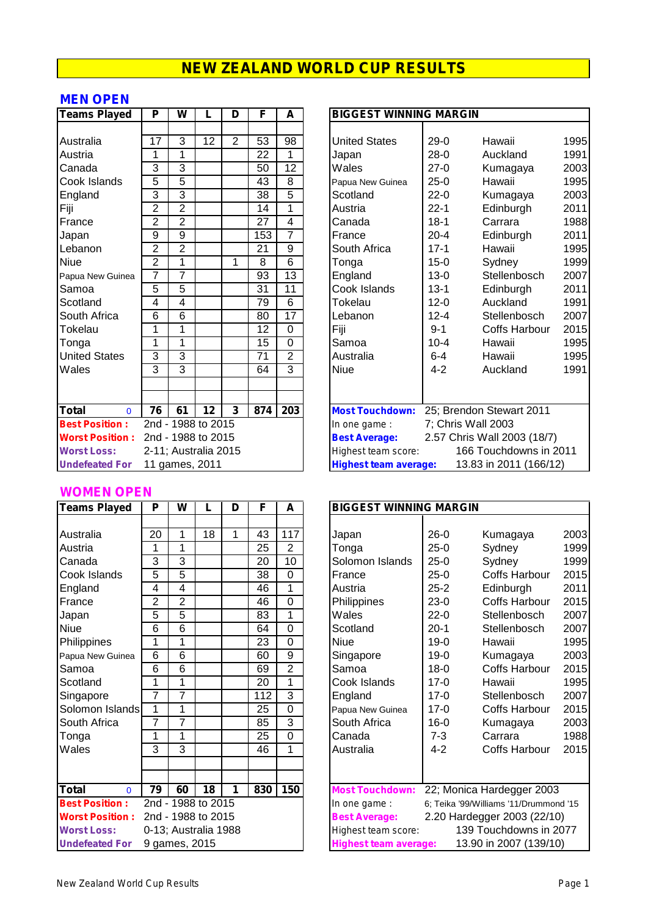#### **MEN OPEN**

| <b>Teams Played</b>      | P              | W              |                      | D              | F               | A              | <b>BIGGEST WINNING MARGIN</b>                         |
|--------------------------|----------------|----------------|----------------------|----------------|-----------------|----------------|-------------------------------------------------------|
|                          |                |                |                      |                |                 |                |                                                       |
| Australia                | 17             | 3              | 12                   | $\overline{2}$ | 53              | 98             | $29-0$<br><b>United States</b><br>Hawaii              |
| Austria                  | 1              | 1              |                      |                | 22              | 1              | $28-0$<br>Auckland<br>Japan                           |
| Canada                   | 3              | 3              |                      |                | 50              | 12             | Wales<br>$27-0$<br>Kumagaya                           |
| Cook Islands             | 5              | $\overline{5}$ |                      |                | 43              | 8              | Hawaii<br>$25-0$<br>Papua New Guinea                  |
| England                  | 3              | 3              |                      |                | 38              | $\overline{5}$ | $22 - 0$<br>Scotland<br>Kumagaya                      |
| Fiji                     | $\overline{2}$ | $\overline{2}$ |                      |                | 14              | 1              | $22 - 1$<br>Edinburgh<br>Austria                      |
| France                   | $\overline{2}$ | $\overline{2}$ |                      |                | 27              | 4              | $18 - 1$<br>Canada<br>Carrara                         |
| Japan                    | 9              | 9              |                      |                | 153             | $\overline{7}$ | $20 - 4$<br>Edinburgh<br>France                       |
| Lebanon                  | $\overline{2}$ | $\overline{2}$ |                      |                | 21              | 9              | Hawaii<br>South Africa<br>$17 - 1$                    |
| <b>Niue</b>              | $\overline{2}$ | 1              |                      | 1              | 8               | 6              | $15 - 0$<br>Sydney<br>Tonga                           |
| Papua New Guinea         | 7              | $\overline{7}$ |                      |                | 93              | 13             | England<br>$13 - 0$<br>Stellenbosch                   |
| Samoa                    | 5              | 5              |                      |                | 31              | 11             | Cook Islands<br>$13 - 1$<br>Edinburgh                 |
| Scotland                 | 4              | 4              |                      |                | 79              | $\overline{6}$ | <b>Tokelau</b><br>$12 - 0$<br>Auckland                |
| South Africa             | 6              | $\overline{6}$ |                      |                | 80              | 17             | $12 - 4$<br>Stellenbosch<br>Lebanon                   |
| Tokelau                  | 1              | 1              |                      |                | $\overline{12}$ | $\overline{0}$ | Fiji<br>$9 - 1$<br><b>Coffs Harbour</b>               |
| Tonga                    | 1              | 1              |                      |                | 15              | $\mathbf 0$    | Samoa<br>$10 - 4$<br>Hawaii                           |
| <b>United States</b>     | 3              | 3              |                      |                | 71              | $\overline{2}$ | $6 - 4$<br>Australia<br>Hawaii                        |
| Wales                    | 3              | 3              |                      |                | 64              | 3              | Niue<br>$4 - 2$<br>Auckland                           |
|                          |                |                |                      |                |                 |                |                                                       |
|                          |                |                |                      |                |                 |                |                                                       |
| <b>Total</b><br>$\Omega$ | 76             | 61             | 12                   | 3              | 874             | 203            | 25; Brendon Stewart 2011<br><b>Most Touchdown:</b>    |
| <b>Best Position:</b>    |                |                | 2nd - 1988 to 2015   |                |                 |                | 7; Chris Wall 2003<br>In one game :                   |
| <b>Worst Position:</b>   |                |                | 2nd - 1988 to 2015   |                |                 |                | 2.57 Chris Wall 2003 (18/7)<br><b>Best Average:</b>   |
| <b>Worst Loss:</b>       |                |                | 2-11; Australia 2015 |                |                 |                | 166 Touchdowns in 2<br>Highest team score:            |
| <b>Undefeated For</b>    |                |                | 11 games, 2011       |                |                 |                | 13.83 in 2011 (166/1)<br><b>Highest team average:</b> |

#### **WOMEN OPEN**

| <b>Teams Played</b>      | P              | W              |                      | D | F   | A              | <b>BIGGEST WINNING MARGIN</b> |          |                               |  |
|--------------------------|----------------|----------------|----------------------|---|-----|----------------|-------------------------------|----------|-------------------------------|--|
|                          |                |                |                      |   |     |                |                               |          |                               |  |
| Australia                | 20             | 1              | 18                   | 1 | 43  | 117            | Japan                         | $26-0$   | Kumagaya                      |  |
| Austria                  | 1              | 1              |                      |   | 25  | $\overline{2}$ | Tonga                         | $25-0$   | Sydney                        |  |
| Canada                   | 3              | 3              |                      |   | 20  | 10             | Solomon Islands               | $25-0$   | Sydney                        |  |
| Cook Islands             | 5              | $\overline{5}$ |                      |   | 38  | 0              | France                        | $25-0$   | Coffs Harb                    |  |
| England                  | 4              | 4              |                      |   | 46  | 1              | Austria                       | $25 - 2$ | Edinburgh                     |  |
| France                   | $\overline{2}$ | $\overline{2}$ |                      |   | 46  | $\mathbf 0$    | Philippines                   | $23-0$   | Coffs Harb                    |  |
| Japan                    | 5              | 5              |                      |   | 83  | 1              | Wales                         | $22-0$   | Stellenboso                   |  |
| <b>Niue</b>              | 6              | 6              |                      |   | 64  | $\overline{0}$ | Scotland                      | $20-1$   | Stellenboso                   |  |
| Philippines              | 1              | 1              |                      |   | 23  | $\mathbf 0$    | <b>Niue</b>                   | $19-0$   | Hawaii                        |  |
| Papua New Guinea         | 6              | 6              |                      |   | 60  | 9              | Singapore                     | $19-0$   | Kumagaya                      |  |
| Samoa                    | $\overline{6}$ | 6              |                      |   | 69  | $\overline{2}$ | Samoa                         | $18 - 0$ | Coffs Harb                    |  |
| Scotland                 | 1              | 1              |                      |   | 20  | 1              | Cook Islands                  | $17 - 0$ | Hawaii                        |  |
| Singapore                | 7              | $\overline{7}$ |                      |   | 112 | 3              | England                       | $17 - 0$ | Stellenboso                   |  |
| Solomon Islands          | 1              | 1              |                      |   | 25  | 0              | Papua New Guinea              | $17 - 0$ | Coffs Harb                    |  |
| South Africa             | 7              | 7              |                      |   | 85  | 3              | South Africa                  | $16 - 0$ | Kumagaya                      |  |
| Tonga                    | 1              | 1              |                      |   | 25  | $\overline{0}$ | Canada                        | $7 - 3$  | Carrara                       |  |
| Wales                    | 3              | 3              |                      |   | 46  | 1              | Australia                     | $4 - 2$  | Coffs Harb                    |  |
|                          |                |                |                      |   |     |                |                               |          |                               |  |
|                          |                |                |                      |   |     |                |                               |          |                               |  |
| <b>Total</b><br>$\Omega$ | 79             | 60             | 18                   | 1 | 830 | 150            | <b>Most Touchdown:</b>        |          | 22; Monica Hardegger          |  |
| <b>Best Position:</b>    |                |                | 2nd - 1988 to 2015   |   |     |                | In one game:                  |          | 6; Teika '99/Williams '11/Dru |  |
| <b>Worst Position:</b>   |                |                | 2nd - 1988 to 2015   |   |     |                | <b>Best Average:</b>          |          | 2.20 Hardegger 2003 (         |  |
| <b>Worst Loss:</b>       |                |                | 0-13; Australia 1988 |   |     |                | Highest team score:           |          | 139 Touchdowns                |  |
| <b>Undefeated For</b>    |                | 9 games, 2015  |                      |   |     |                | <b>Highest team average:</b>  |          | 13.90 in 2007 (1:             |  |

| Teams Played           | P                    | W                  |    | D              | F   | A                |                                                        | <b>BIGGEST WINNING MARGIN</b> |                             |      |  |  |  |
|------------------------|----------------------|--------------------|----|----------------|-----|------------------|--------------------------------------------------------|-------------------------------|-----------------------------|------|--|--|--|
|                        |                      |                    |    |                |     |                  |                                                        |                               |                             |      |  |  |  |
| Australia              | 17                   | 3                  | 12 | $\overline{2}$ | 53  | 98               | <b>United States</b>                                   | $29-0$                        | Hawaii                      | 1995 |  |  |  |
| Austria                | 1                    |                    |    |                | 22  |                  | Japan                                                  | $28-0$                        | Auckland                    | 1991 |  |  |  |
| Canada                 | 3                    | 3                  |    |                | 50  | 12               | Wales                                                  | $27-0$                        | Kumagaya                    | 2003 |  |  |  |
| Cook Islands           | 5                    | 5                  |    |                | 43  | 8                | Papua New Guinea                                       | $25 - 0$                      | Hawaii                      | 1995 |  |  |  |
| England                | 3                    | 3                  |    |                | 38  | 5                | Scotland                                               | $22 - 0$                      | Kumagaya                    | 2003 |  |  |  |
| Fiji                   | $\overline{2}$       | $\overline{2}$     |    |                | 14  | 1                | Austria                                                | $22 - 1$                      | Edinburgh                   | 2011 |  |  |  |
| France                 | $\overline{c}$       | $\overline{2}$     |    |                | 27  | 4                | Canada                                                 | $18 - 1$                      | Carrara                     | 1988 |  |  |  |
| Japan                  | 9                    | 9                  |    |                | 153 | $\overline{7}$   | France                                                 | $20 - 4$                      | Edinburgh                   | 2011 |  |  |  |
| Lebanon                | $\overline{2}$       | $\overline{2}$     |    |                | 21  | 9                | South Africa                                           | $17 - 1$                      | Hawaii                      | 1995 |  |  |  |
| Niue                   | $\overline{2}$       |                    |    | 1              | 8   | 6                | Tonga                                                  | $15 - 0$                      | Sydney                      | 1999 |  |  |  |
| Papua New Guinea       | 7                    | 7                  |    |                | 93  | 13               | England                                                | $13 - 0$                      | Stellenbosch                | 2007 |  |  |  |
| Samoa                  | 5                    | 5                  |    |                | 31  | 11               | Cook Islands                                           | $13 - 1$                      | Edinburgh                   | 2011 |  |  |  |
| Scotland               | 4                    | 4                  |    |                | 79  | $\overline{6}$   | Tokelau                                                | $12 - 0$                      | Auckland                    | 1991 |  |  |  |
| South Africa           | 6                    | 6                  |    |                | 80  | 17               | Lebanon                                                | $12 - 4$                      | Stellenbosch                | 2007 |  |  |  |
| Tokelau                |                      |                    |    |                | 12  | $\mathbf 0$      | Fiji                                                   | $9 - 1$                       | <b>Coffs Harbour</b>        | 2015 |  |  |  |
| Tonga                  | 1                    |                    |    |                | 15  | $\overline{0}$   | Samoa                                                  | $10 - 4$                      | Hawaii                      | 1995 |  |  |  |
| <b>United States</b>   | 3                    | 3                  |    |                | 71  | $\overline{2}$   | Australia                                              | $6-4$                         | Hawaii                      | 1995 |  |  |  |
| Wales                  | 3                    | 3                  |    |                | 64  | $\overline{3}$   | <b>Niue</b>                                            | $4 - 2$                       | Auckland                    | 1991 |  |  |  |
|                        |                      |                    |    |                |     |                  |                                                        |                               |                             |      |  |  |  |
|                        |                      |                    |    |                |     |                  |                                                        |                               |                             |      |  |  |  |
| Total<br>$\Omega$      | 76                   | 61                 | 12 | 3              | 874 | $\overline{203}$ | <b>Most Touchdown:</b>                                 |                               | 25; Brendon Stewart 2011    |      |  |  |  |
| <b>Best Position:</b>  |                      | 2nd - 1988 to 2015 |    |                |     |                  | In one game:                                           |                               | 7; Chris Wall 2003          |      |  |  |  |
| <b>Worst Position:</b> |                      | 2nd - 1988 to 2015 |    |                |     |                  | <b>Best Average:</b>                                   |                               | 2.57 Chris Wall 2003 (18/7) |      |  |  |  |
| <b>Worst Loss:</b>     | 2-11; Australia 2015 |                    |    |                |     |                  | 166 Touchdowns in 2011<br>Highest team score:          |                               |                             |      |  |  |  |
| <b>Undefeated For</b>  |                      | 11 games, 2011     |    |                |     |                  | 13.83 in 2011 (166/12)<br><b>Highest team average:</b> |                               |                             |      |  |  |  |
|                        |                      |                    |    |                |     |                  |                                                        |                               |                             |      |  |  |  |

| <b>Teams Played</b>    | P                    | W                  |    | D | F   | A                                                   | <b>BIGGEST WINNING MARGIN</b>                          |          |                                        |      |  |
|------------------------|----------------------|--------------------|----|---|-----|-----------------------------------------------------|--------------------------------------------------------|----------|----------------------------------------|------|--|
|                        |                      |                    |    |   |     |                                                     |                                                        |          |                                        |      |  |
| Australia              | 20                   | 1                  | 18 | 1 | 43  | 117                                                 | Japan                                                  | $26-0$   | Kumagaya                               | 2003 |  |
| Austria                | 1                    |                    |    |   | 25  | $\overline{2}$                                      | Tonga                                                  | $25-0$   | Sydney                                 | 1999 |  |
| Canada                 | 3                    | 3                  |    |   | 20  | 10                                                  | Solomon Islands                                        | $25-0$   | Sydney                                 | 1999 |  |
| Cook Islands           | 5                    | 5                  |    |   | 38  | $\mathbf 0$                                         | France                                                 | $25-0$   | Coffs Harbour                          | 2015 |  |
| England                | 4                    | 4                  |    |   | 46  | 1                                                   | Austria                                                | $25 - 2$ | Edinburgh                              | 2011 |  |
| France                 | $\overline{2}$       | $\overline{2}$     |    |   | 46  | $\overline{0}$                                      | Philippines                                            | $23-0$   | Coffs Harbour                          | 2015 |  |
| Japan                  | 5                    | 5                  |    |   | 83  | 1                                                   | Wales                                                  | $22-0$   | Stellenbosch                           | 2007 |  |
| Niue                   | 6                    | 6                  |    |   | 64  | $\mathbf 0$                                         | Scotland                                               | $20-1$   | Stellenbosch                           | 2007 |  |
| Philippines            | 1                    |                    |    |   | 23  | 0                                                   | <b>Niue</b>                                            | $19-0$   | Hawaii                                 | 1995 |  |
| Papua New Guinea       | 6                    | 6                  |    |   | 60  | 9                                                   | Singapore                                              | $19 - 0$ | Kumagaya                               | 2003 |  |
| Samoa                  | 6                    | 6                  |    |   | 69  | $\overline{2}$                                      | Samoa                                                  | $18 - 0$ | Coffs Harbour                          | 2015 |  |
| Scotland               | 1                    | 1                  |    |   | 20  | 1                                                   | Cook Islands                                           | $17-0$   | Hawaii                                 | 1995 |  |
| Singapore              | 7                    | 7                  |    |   | 112 | $\overline{3}$                                      | England                                                | $17-0$   | Stellenbosch                           | 2007 |  |
| Solomon Islands        | $\mathbf{1}$         |                    |    |   | 25  | 0                                                   | Papua New Guinea                                       | $17 - 0$ | <b>Coffs Harbour</b>                   | 2015 |  |
| South Africa           | 7                    | 7                  |    |   | 85  | $\overline{3}$                                      | South Africa                                           | $16 - 0$ | Kumagaya                               | 2003 |  |
| Tonga                  | 1                    | 1                  |    |   | 25  | 0                                                   | Canada                                                 | $7 - 3$  | Carrara                                | 1988 |  |
| Wales                  | 3                    | 3                  |    |   | 46  | 1                                                   | Australia                                              | $4 - 2$  | Coffs Harbour                          | 2015 |  |
|                        |                      |                    |    |   |     |                                                     |                                                        |          |                                        |      |  |
|                        |                      |                    |    |   |     |                                                     |                                                        |          |                                        |      |  |
| Total<br>$\Omega$      | 79                   | 60                 | 18 | 1 | 830 | 150                                                 | <b>Most Touchdown:</b>                                 |          | 22; Monica Hardegger 2003              |      |  |
| <b>Best Position:</b>  |                      | 2nd - 1988 to 2015 |    |   |     |                                                     | In one game:                                           |          | 6; Teika '99/Williams '11/Drummond '15 |      |  |
| <b>Worst Position:</b> | 2nd - 1988 to 2015   |                    |    |   |     | 2.20 Hardegger 2003 (22/10)<br><b>Best Average:</b> |                                                        |          |                                        |      |  |
| <b>Worst Loss:</b>     | 0-13; Australia 1988 |                    |    |   |     |                                                     | 139 Touchdowns in 2077<br>Highest team score:          |          |                                        |      |  |
| <b>Undefeated For</b>  |                      | 9 games, 2015      |    |   |     |                                                     | 13.90 in 2007 (139/10)<br><b>Highest team average:</b> |          |                                        |      |  |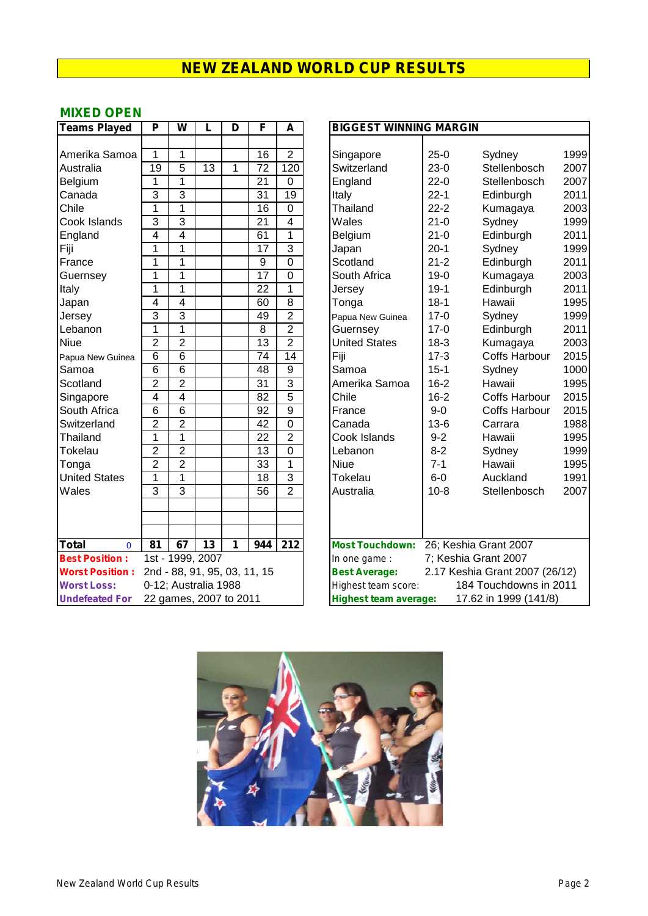#### **MIXED OPEN**

| <b>Teams Played</b>         | P              | W                      | L               | D | F                            | A                | <b>BIGGEST WINNING MARGIN</b>                          |      |
|-----------------------------|----------------|------------------------|-----------------|---|------------------------------|------------------|--------------------------------------------------------|------|
|                             |                |                        |                 |   |                              |                  |                                                        |      |
| Amerika Samoa               | 1              | 1                      |                 |   | 16                           | $\overline{2}$   | $25-0$<br>Sydney<br>Singapore                          | 1999 |
| Australia                   | 19             | 5                      | 13              | 1 | 72                           | 120              | $23-0$<br>Switzerland<br>Stellenbosch                  | 2007 |
| Belgium                     | 1              | 1                      |                 |   | 21                           | $\mathbf 0$      | $22-0$<br>Stellenbosch<br>England                      | 2007 |
| Canada                      | 3              | $\overline{3}$         |                 |   | 31                           | $\overline{19}$  | $22 - 1$<br>Italy<br>Edinburgh                         | 201' |
| Chile                       | $\mathbf{1}$   | $\mathbf{1}$           |                 |   | 16                           | $\mathbf 0$      | Thailand<br>$22 - 2$<br>Kumagaya                       | 2003 |
| Cook Islands                | $\overline{3}$ | $\overline{3}$         |                 |   | 21                           | $\overline{4}$   | $21 - 0$<br>Wales<br>Sydney                            | 1999 |
| England                     | $\overline{4}$ | $\overline{4}$         |                 |   | 61                           | $\overline{1}$   | $21 - 0$<br>Edinburgh<br>Belgium                       | 201' |
| Fiji                        | 1              | $\mathbf{1}$           |                 |   | $\overline{17}$              | $\overline{3}$   | $20-1$<br>Sydney<br>Japan                              | 1999 |
| France                      | 1              | $\mathbf{1}$           |                 |   | 9                            | $\mathbf 0$      | $21 - 2$<br>Scotland<br>Edinburgh                      | 201' |
| Guernsey                    | $\overline{1}$ | $\mathbf{1}$           |                 |   | $\overline{17}$              | $\overline{0}$   | South Africa<br>$19-0$<br>Kumagaya                     | 2003 |
| Italy                       | $\overline{1}$ | $\mathbf{1}$           |                 |   | $\overline{22}$              | $\overline{1}$   | $19-1$<br>Edinburgh<br>Jersey                          | 201' |
| Japan                       | $\overline{4}$ | $\overline{4}$         |                 |   | 60                           | $\overline{8}$   | $18 - 1$<br>Tonga<br>Hawaii                            | 199  |
| Jersey                      | $\overline{3}$ | $\overline{3}$         |                 |   | 49                           | $\overline{2}$   | $17-0$<br>Sydney<br>Papua New Guinea                   | 1999 |
| Lebanon                     | 1              | 1                      |                 |   | $\overline{8}$               | $\overline{2}$   | $17 - 0$<br>Edinburgh<br>Guernsey                      | 201' |
| <b>Niue</b>                 | $\overline{2}$ | $\overline{2}$         |                 |   | 13                           | $\overline{2}$   | <b>United States</b><br>$18-3$<br>Kumagaya             | 2003 |
| Papua New Guinea            | $\overline{6}$ | $\overline{6}$         |                 |   | $\overline{74}$              | $\overline{14}$  | $17-3$<br><b>Coffs Harbour</b><br>Fiji                 | 2015 |
| Samoa                       | $\overline{6}$ | $\overline{6}$         |                 |   | $\overline{48}$              | $\overline{9}$   | Samoa<br>$15 - 1$<br>Sydney                            | 1000 |
| Scotland                    | $\overline{2}$ | $\overline{2}$         |                 |   | $\overline{31}$              | $\overline{3}$   | $16 - 2$<br>Amerika Samoa<br>Hawaii                    | 199  |
| Singapore                   | $\overline{4}$ | $\overline{4}$         |                 |   | 82                           | $\overline{5}$   | $16-2$<br>Chile<br><b>Coffs Harbour</b>                | 2015 |
| South Africa                | $\overline{6}$ | $\overline{6}$         |                 |   | 92                           | $\overline{9}$   | $9 - 0$<br>France<br><b>Coffs Harbour</b>              | 2015 |
| Switzerland                 | $\overline{2}$ | $\overline{2}$         |                 |   | $\overline{42}$              | $\overline{0}$   | $13-6$<br>Canada<br>Carrara                            | 1988 |
| Thailand                    | 1              | $\mathbf{1}$           |                 |   | $\overline{22}$              | $\overline{2}$   | $9 - 2$<br>Cook Islands<br>Hawaii                      | 199  |
| Tokelau                     | $\overline{2}$ | $\overline{2}$         |                 |   | $\overline{13}$              | $\overline{0}$   | $8 - 2$<br>Lebanon<br>Sydney                           | 1999 |
| Tonga                       | $\overline{2}$ | $\overline{2}$         |                 |   | 33                           | $\overline{1}$   | $7 - 1$<br><b>Niue</b><br>Hawaii                       | 199  |
| <b>United States</b>        | $\mathbf{1}$   | $\overline{1}$         |                 |   | $\overline{18}$              | $\overline{3}$   | $6-0$<br>Tokelau<br>Auckland                           | 199  |
| Wales                       | $\overline{3}$ | $\overline{3}$         |                 |   | $\overline{56}$              | $\overline{2}$   | Australia<br>$10 - 8$<br>Stellenbosch                  | 2007 |
|                             |                |                        |                 |   |                              |                  |                                                        |      |
|                             |                |                        |                 |   |                              |                  |                                                        |      |
|                             |                |                        |                 |   |                              |                  |                                                        |      |
| <b>Total</b><br>$\mathbf 0$ | 81             | 67                     | $\overline{13}$ | 1 | 944                          | $\overline{212}$ | Most Touchdown: 26; Keshia Grant 2007                  |      |
| <b>Best Position:</b>       |                | 1st - 1999, 2007       |                 |   |                              |                  | 7; Keshia Grant 2007<br>In one game:                   |      |
| <b>Worst Position:</b>      |                |                        |                 |   | 2nd - 88, 91, 95, 03, 11, 15 |                  | 2.17 Keshia Grant 2007 (26/12)<br><b>Best Average:</b> |      |
| <b>Worst Loss:</b>          |                | 0-12; Australia 1988   |                 |   |                              |                  | 184 Touchdowns in 2011<br>Highest team score:          |      |
| <b>Undefeated For</b>       |                | 22 games, 2007 to 2011 |                 |   |                              |                  | 17.62 in 1999 (141/8)<br><b>Highest team average:</b>  |      |

| <b>Teams Played</b>                           | P               | W                      | F<br><b>BIGGEST WINNING MARGIN</b><br>L<br>D<br>A |   |                              |                         |                                                |          |                                |      |
|-----------------------------------------------|-----------------|------------------------|---------------------------------------------------|---|------------------------------|-------------------------|------------------------------------------------|----------|--------------------------------|------|
|                                               |                 |                        |                                                   |   |                              |                         |                                                |          |                                |      |
| Amerika Samoa                                 | 1               | 1                      |                                                   |   | 16                           | $\overline{2}$          | Singapore                                      | $25-0$   | Sydney                         | 1999 |
| Australia                                     | $\overline{19}$ | 5                      | $\overline{13}$                                   | 1 | 72                           | 120                     | Switzerland                                    | $23-0$   | Stellenbosch                   | 2007 |
| Belgium                                       | $\mathbf 1$     | $\mathbf{1}$           |                                                   |   | $\overline{21}$              | $\overline{0}$          | England                                        | $22-0$   | Stellenbosch                   | 2007 |
| Canada                                        | 3               | 3                      |                                                   |   | 31                           | 19                      | Italy                                          | $22 - 1$ | Edinburgh                      | 2011 |
| Chile                                         | $\mathbf{1}$    | 1                      |                                                   |   | 16                           | $\overline{0}$          | Thailand                                       | $22 - 2$ | Kumagaya                       | 2003 |
| Cook Islands                                  | 3               | 3                      |                                                   |   | $\overline{21}$              | $\overline{\mathbf{4}}$ | Wales                                          | $21 - 0$ | Sydney                         | 1999 |
| England                                       | 4               | 4                      |                                                   |   | 61                           | 1                       | Belgium                                        | $21 - 0$ | Edinburgh                      | 2011 |
| Fiji                                          | $\mathbf{1}$    | 1                      |                                                   |   | 17                           | $\overline{3}$          | Japan                                          | $20-1$   | Sydney                         | 1999 |
| France                                        | 1               | 1                      |                                                   |   | 9                            | 0                       | Scotland                                       | $21 - 2$ | Edinburgh                      | 2011 |
| Guernsey                                      | 1               | 1                      |                                                   |   | $\overline{17}$              | 0                       | South Africa                                   | $19-0$   | Kumagaya                       | 2003 |
| Italy                                         | 1               | 1                      |                                                   |   | 22                           | 1                       | Jersey                                         | $19 - 1$ | Edinburgh                      | 2011 |
| Japan                                         | 4               | $\overline{4}$         |                                                   |   | 60                           | $\overline{8}$          | Tonga                                          | $18 - 1$ | Hawaii                         | 1995 |
| Jersey                                        | 3               | 3                      |                                                   |   | 49                           | $\overline{2}$          | Papua New Guinea                               | $17-0$   | Sydney                         | 1999 |
| Lebanon                                       | $\overline{1}$  | 1                      |                                                   |   | 8                            | $\overline{2}$          | Guernsey                                       | $17-0$   | Edinburgh                      | 2011 |
| <b>Niue</b>                                   | $\overline{2}$  | $\overline{2}$         |                                                   |   | 13                           | $\overline{2}$          | <b>United States</b>                           | $18-3$   | Kumagaya                       | 2003 |
| Papua New Guinea                              | 6               | $\overline{6}$         |                                                   |   | 74                           | $\overline{14}$         | Fiji                                           | $17 - 3$ | Coffs Harbour                  | 2015 |
| Samoa                                         | $\overline{6}$  | $\overline{6}$         |                                                   |   | $\overline{48}$              | $\overline{9}$          | Samoa                                          | $15 - 1$ | Sydney                         | 1000 |
| Scotland                                      | $\overline{2}$  | $\overline{2}$         |                                                   |   | $\overline{31}$              | $\overline{3}$          | Amerika Samoa                                  | $16 - 2$ | Hawaii                         | 1995 |
| Singapore                                     | 4               | $\overline{4}$         |                                                   |   | 82                           | $\overline{5}$          | Chile                                          | $16 - 2$ | <b>Coffs Harbour</b>           | 2015 |
| South Africa                                  | $\overline{6}$  | $\overline{6}$         |                                                   |   | $\overline{92}$              | $\overline{9}$          | France                                         | $9-0$    | <b>Coffs Harbour</b>           | 2015 |
| Switzerland                                   | $\overline{2}$  | $\overline{2}$         |                                                   |   | $\overline{42}$              | $\overline{0}$          | Canada                                         | $13-6$   | Carrara                        | 1988 |
| Thailand                                      | 1               | 1                      |                                                   |   | 22                           | $\overline{2}$          | Cook Islands                                   | $9 - 2$  | Hawaii                         | 1995 |
| Tokelau                                       | $\overline{2}$  | $\overline{2}$         |                                                   |   | $\overline{13}$              | $\overline{0}$          | Lebanon                                        | $8 - 2$  | Sydney                         | 1999 |
| Tonga                                         | $\overline{2}$  | $\overline{2}$         |                                                   |   | $\overline{33}$              | $\overline{1}$          | <b>Niue</b>                                    | $7 - 1$  | Hawaii                         | 1995 |
| <b>United States</b>                          | 1               | 1                      |                                                   |   | 18                           | 3                       | Tokelau                                        | $6-0$    | Auckland                       | 1991 |
| Wales                                         | 3               | 3                      |                                                   |   | $\overline{56}$              | $\overline{2}$          | Australia                                      | $10 - 8$ | Stellenbosch                   | 2007 |
|                                               |                 |                        |                                                   |   |                              |                         |                                                |          |                                |      |
|                                               |                 |                        |                                                   |   |                              |                         |                                                |          |                                |      |
|                                               |                 |                        |                                                   |   |                              |                         |                                                |          |                                |      |
| $\overline{\textsf{Total}}$<br>$\overline{0}$ | $\overline{81}$ | 67                     | $\overline{13}$                                   | 1 | 944                          | $\overline{212}$        | Most Touchdown: 26; Keshia Grant 2007          |          |                                |      |
| <b>Best Position:</b>                         |                 | 1st - 1999, 2007       |                                                   |   |                              |                         | In one game:                                   |          | 7; Keshia Grant 2007           |      |
| <b>Worst Position:</b>                        |                 |                        |                                                   |   | 2nd - 88, 91, 95, 03, 11, 15 |                         | <b>Best Average:</b>                           |          | 2.17 Keshia Grant 2007 (26/12) |      |
| <b>Worst Loss:</b>                            |                 | 0-12; Australia 1988   |                                                   |   |                              |                         | 184 Touchdowns in 2011<br>Highest team score:  |          |                                |      |
| <b>Undefeated For</b>                         |                 | 22 games, 2007 to 2011 |                                                   |   |                              |                         | 17.62 in 1999 (141/8)<br>Highest team average: |          |                                |      |

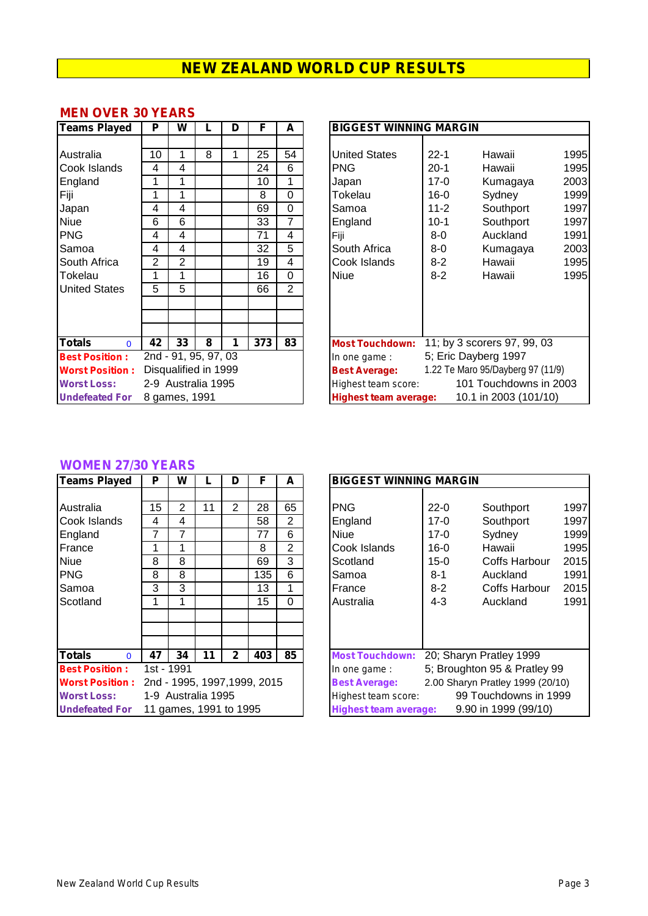#### **MEN OVER 30 YEARS**

| Teams Played              | P  | W                    |   | D | F   | A              | <b>BIGGEST WINNING MARGIN</b>                             |
|---------------------------|----|----------------------|---|---|-----|----------------|-----------------------------------------------------------|
|                           |    |                      |   |   |     |                |                                                           |
| Australia                 | 10 | 1                    | 8 | 1 | 25  | 54             | $22 - 1$<br><b>United States</b><br>Hawaii                |
| Cook Islands              | 4  | 4                    |   |   | 24  | 6              | <b>PNG</b><br>$20 - 1$<br>Hawaii                          |
| England                   | 1  | 1                    |   |   | 10  | 1              | $\overline{2}$<br>$17-0$<br>Japan<br>Kumagaya             |
| Fiji                      | 1  | 1                    |   |   | 8   | 0              | 1<br>Tokelau<br>$16 - 0$<br>Sydney                        |
| Japan                     | 4  | 4                    |   |   | 69  | 0              | $11 - 2$<br>Southport<br>1<br>Samoa                       |
| Niue                      | 6  | 6                    |   |   | 33  | 7              | $10-1$<br>Southport<br>England                            |
| <b>PNG</b>                | 4  | 4                    |   |   | 71  | 4              | Fiji<br>$8-0$<br>Auckland<br>1                            |
| Samoa                     | 4  | 4                    |   |   | 32  | 5              | $\overline{2}$<br>South Africa<br>$8-0$<br>Kumagaya       |
| South Africa              | 2  | 2                    |   |   | 19  | 4              | Cook Islands<br>$8 - 2$<br>Hawaii                         |
| Tokelau                   | 1  | 1                    |   |   | 16  | 0              | <b>Niue</b><br>$8-2$<br>Hawaii<br>1                       |
| <b>United States</b>      | 5  | 5                    |   |   | 66  | $\overline{2}$ |                                                           |
|                           |    |                      |   |   |     |                |                                                           |
|                           |    |                      |   |   |     |                |                                                           |
|                           |    |                      |   |   |     |                |                                                           |
| <b>Totals</b><br>$\Omega$ | 42 | 33                   | 8 | 1 | 373 | 83             | 11; by 3 scorers 97, 99, 03<br><b>Most Touchdown:</b>     |
| <b>Best Position:</b>     |    | 2nd - 91, 95, 97, 03 |   |   |     |                | 5; Eric Dayberg 1997<br>In one game:                      |
| <b>Worst Position:</b>    |    | Disqualified in 1999 |   |   |     |                | 1.22 Te Maro 95/Dayberg 97 (11/9)<br><b>Best Average:</b> |
| <b>Worst Loss:</b>        |    | 2-9 Australia 1995   |   |   |     |                | 101 Touchdowns in 200<br>Highest team score:              |
| <b>Undefeated For</b>     |    | 8 games, 1991        |   |   |     |                | 10.1 in 2003 (101/10)<br><b>Highest team average:</b>     |

| <b>Teams Played</b>       | P  | W                    |   | D | F   | A  | <b>BIGGEST WINNING MARGIN</b> |          |                                   |      |  |  |
|---------------------------|----|----------------------|---|---|-----|----|-------------------------------|----------|-----------------------------------|------|--|--|
|                           |    |                      |   |   |     |    |                               |          |                                   |      |  |  |
| Australia                 | 10 |                      | 8 |   | 25  | 54 | <b>United States</b>          | $22 - 1$ | Hawaii                            | 1995 |  |  |
| Cook Islands              | 4  | 4                    |   |   | 24  | 6  | PNG.                          | $20-1$   | Hawaii                            | 1995 |  |  |
| England                   |    |                      |   |   | 10  |    | Japan                         | $17-0$   | Kumagaya                          | 2003 |  |  |
| Fiji                      |    |                      |   |   | 8   | 0  | Tokelau                       | $16 - 0$ | Sydney                            | 1999 |  |  |
| Japan                     | 4  | 4                    |   |   | 69  | 0  | Samoa                         | $11 - 2$ | Southport                         | 1997 |  |  |
| Niue                      | 6  | 6                    |   |   | 33  | 7  | England                       | $10 - 1$ | Southport                         | 1997 |  |  |
| <b>PNG</b>                | 4  | 4                    |   |   | 71  | 4  | Fiji                          | 8-0      | Auckland                          | 1991 |  |  |
| Samoa                     | 4  | 4                    |   |   | 32  | 5  | South Africa                  | 8-0      | Kumagaya                          | 2003 |  |  |
| South Africa              | 2  | 2                    |   |   | 19  | 4  | Cook Islands                  | $8 - 2$  | Hawaii                            | 1995 |  |  |
| Tokelau                   |    |                      |   |   | 16  | 0  | Niue                          | $8 - 2$  | Hawaii                            | 1995 |  |  |
| <b>United States</b>      | 5  | 5                    |   |   | 66  | 2  |                               |          |                                   |      |  |  |
|                           |    |                      |   |   |     |    |                               |          |                                   |      |  |  |
|                           |    |                      |   |   |     |    |                               |          |                                   |      |  |  |
|                           |    |                      |   |   |     |    |                               |          |                                   |      |  |  |
| <b>Totals</b><br>$\Omega$ | 42 | 33                   | 8 |   | 373 | 83 | <b>Most Touchdown:</b>        |          | 11; by 3 scorers 97, 99, 03       |      |  |  |
| <b>Best Position:</b>     |    | 2nd - 91, 95, 97, 03 |   |   |     |    | In one game :                 |          | 5; Eric Dayberg 1997              |      |  |  |
| <b>Worst Position:</b>    |    | Disqualified in 1999 |   |   |     |    | <b>Best Average:</b>          |          | 1.22 Te Maro 95/Dayberg 97 (11/9) |      |  |  |
| <b>Worst Loss:</b>        |    | 2-9 Australia 1995   |   |   |     |    | Highest team score:           |          | 101 Touchdowns in 2003            |      |  |  |
| <b>Undefeated For</b>     |    | 8 games, 1991        |   |   |     |    | Highest team average:         |          | 10.1 in 2003 (101/10)             |      |  |  |

#### **WOMEN 27/30 YEARS**

| <b>Teams Played</b>       | P  | W          |                        | D              | F                            | A              | <b>BIGGEST WINNING MARGIN</b>                     |
|---------------------------|----|------------|------------------------|----------------|------------------------------|----------------|---------------------------------------------------|
|                           |    |            |                        |                |                              |                |                                                   |
| Australia                 | 15 | 2          | 11                     | $\overline{2}$ | 28                           | 65             | <b>PNG</b><br>$22 - 0$<br>Southport               |
| Cook Islands              | 4  | 4          |                        |                | 58                           | $\overline{2}$ | $17 - 0$<br>England<br>Southport                  |
| England                   | 7  | 7          |                        |                | 77                           | 6              | <b>Niue</b><br>$17 - 0$<br>Sydney                 |
| France                    | 1  |            |                        |                | 8                            | $\overline{2}$ | Cook Islands<br>$16 - 0$<br>Hawaii                |
| <b>Niue</b>               | 8  | 8          |                        |                | 69                           | 3              | Scotland<br>$15-0$<br>Coffs Harb                  |
| <b>PNG</b>                | 8  | 8          |                        |                | 135                          | 6              | Auckland<br>$8 - 1$<br>Samoa                      |
| Samoa                     | 3  | 3          |                        |                | 13                           | 1              | Coffs Harb<br>France<br>$8 - 2$                   |
| Scotland                  | 1  | 1          |                        |                | 15                           | 0              | Australia<br>$4 - 3$<br>Auckland                  |
|                           |    |            |                        |                |                              |                |                                                   |
|                           |    |            |                        |                |                              |                |                                                   |
|                           |    |            |                        |                |                              |                |                                                   |
| <b>Totals</b><br>$\Omega$ | 47 | 34         | 11                     | $\mathbf{2}$   | 403                          | 85             | 20; Sharyn Pratley 199<br><b>Most Touchdown:</b>  |
| <b>Best Position:</b>     |    | 1st - 1991 |                        |                |                              |                | 5; Broughton 95 & Prat<br>In one game:            |
| <b>Worst Position:</b>    |    |            |                        |                | 2nd - 1995, 1997, 1999, 2015 |                | 2.00 Sharyn Pratley 1999<br><b>Best Average:</b>  |
| <b>Worst Loss:</b>        |    |            | 1-9 Australia 1995     |                |                              |                | 99 Touchdowns<br>Highest team score:              |
| <b>Undefeated For</b>     |    |            | 11 games, 1991 to 1995 |                |                              |                | 9.90 in 1999 (99)<br><b>Highest team average:</b> |

| <b>Teams Played</b>           | P          | W                      |    | D              | F                            | A              | <b>BIGGEST WINNING MARGIN</b> |          |                                  |      |
|-------------------------------|------------|------------------------|----|----------------|------------------------------|----------------|-------------------------------|----------|----------------------------------|------|
|                               |            |                        |    |                |                              |                |                               |          |                                  |      |
| Australia                     | 15         | 2                      | 11 | $\overline{2}$ | 28                           | 65             | PNG                           | $22 - 0$ | Southport                        | 1997 |
| Cook Islands                  | 4          | 4                      |    |                | 58                           | 2              | England                       | $17 - 0$ | Southport                        | 1997 |
| England                       | 7          |                        |    |                | 77                           | 6              | Niue                          | $17-0$   | Sydney                           | 1999 |
| France                        |            |                        |    |                | 8                            | $\overline{2}$ | Cook Islands                  | $16 - 0$ | Hawaii                           | 1995 |
| Niue                          | 8          | 8                      |    |                | 69                           | 3              | Scotland                      | 15-0     | Coffs Harbour                    | 2015 |
| <b>PNG</b>                    | 8          | 8                      |    |                | 135                          | 6              | Samoa                         | $8 - 1$  | Auckland                         | 1991 |
| Samoa                         | 3          | 3                      |    |                | 13                           |                | France                        | $8-2$    | Coffs Harbour                    | 2015 |
| Scotland                      |            |                        |    |                | 15                           | 0              | Australia                     | 4-3      | Auckland                         | 1991 |
|                               |            |                        |    |                |                              |                |                               |          |                                  |      |
|                               |            |                        |    |                |                              |                |                               |          |                                  |      |
|                               |            |                        |    |                |                              |                |                               |          |                                  |      |
| <b>Totals</b><br>$\mathbf{0}$ | 47         | 34                     | 11 | $\mathbf{2}$   | 403                          | 85             | <b>Most Touchdown:</b>        |          | 20; Sharyn Pratley 1999          |      |
| <b>Best Position:</b>         | 1st - 1991 |                        |    |                |                              |                | In one game:                  |          | 5; Broughton 95 & Pratley 99     |      |
| <b>Worst Position:</b>        |            |                        |    |                | 2nd - 1995, 1997, 1999, 2015 |                | <b>Best Average:</b>          |          | 2.00 Sharyn Pratley 1999 (20/10) |      |
| <b>Worst Loss:</b>            |            | 1-9 Australia 1995     |    |                |                              |                | Highest team score:           |          | 99 Touchdowns in 1999            |      |
| <b>Undefeated For</b>         |            | 11 games, 1991 to 1995 |    |                |                              |                | <b>Highest team average:</b>  |          | 9.90 in 1999 (99/10)             |      |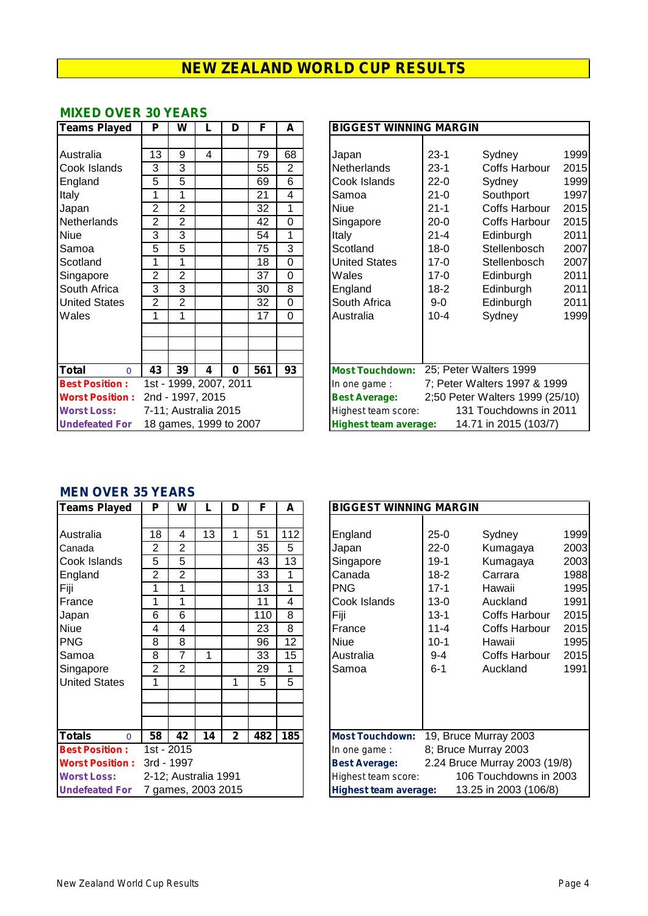#### **MIXED OVER 30 YEARS**

| <b>Teams Played</b>               | P              | W              |                        | D        | F   | A              | <b>BIGGEST WINNING MARGIN</b>                            |
|-----------------------------------|----------------|----------------|------------------------|----------|-----|----------------|----------------------------------------------------------|
|                                   |                |                |                        |          |     |                |                                                          |
| Australia                         | 13             | 9              | 4                      |          | 79  | 68             | 1999<br>$23-1$<br>Sydney<br>Japan                        |
| Cook Islands                      | 3              | 3              |                        |          | 55  | $\overline{2}$ | $23-1$<br>Coffs Harbour<br>2015<br><b>Netherlands</b>    |
| England                           | 5              | 5              |                        |          | 69  | 6              | Cook Islands<br>$22 - 0$<br>1999<br>Sydney               |
| Italy                             | 1              | 1              |                        |          | 21  | 4              | $21 - 0$<br>199<br>Southport<br>Samoa                    |
| Japan                             | $\overline{2}$ | $\overline{2}$ |                        |          | 32  | 1              | <b>Niue</b><br>$21 - 1$<br>2015<br><b>Coffs Harbour</b>  |
| Netherlands                       | $\overline{2}$ | $\overline{2}$ |                        |          | 42  | $\mathbf 0$    | $20 - 0$<br><b>Coffs Harbour</b><br>2015<br>Singapore    |
| Niue                              | 3              | 3              |                        |          | 54  | 1              | $21 - 4$<br>Edinburgh<br>201'<br>Italy                   |
| Samoa                             | 5              | 5              |                        |          | 75  | 3              | $18 - 0$<br>2007<br>Scotland<br>Stellenbosch             |
| Scotland                          | 1              | 1              |                        |          | 18  | $\mathbf 0$    | <b>United States</b><br>$17 - 0$<br>2007<br>Stellenbosch |
| Singapore                         | 2              | $\overline{2}$ |                        |          | 37  | $\Omega$       | Wales<br>$17 - 0$<br>Edinburgh<br>201'                   |
| South Africa                      | 3              | 3              |                        |          | 30  | 8              | 201'<br>$18-2$<br>Edinburgh<br>England                   |
| <b>United States</b>              | $\overline{2}$ | $\overline{2}$ |                        |          | 32  | $\mathbf 0$    | South Africa<br>$9-0$<br>201'<br>Edinburgh               |
| Wales                             | 1              | 1              |                        |          | 17  | $\Omega$       | 1999<br>$10 - 4$<br>Sydney<br>Australia                  |
|                                   |                |                |                        |          |     |                |                                                          |
|                                   |                |                |                        |          |     |                |                                                          |
| <b>Total</b>                      | 43             | 39             | 4                      | $\bf{0}$ | 561 | 93             | 25; Peter Walters 1999<br><b>Most Touchdown:</b>         |
| $\Omega$<br><b>Best Position:</b> |                |                | 1st - 1999, 2007, 2011 |          |     |                | 7; Peter Walters 1997 & 1999                             |
|                                   |                |                |                        |          |     |                | In one game :                                            |
| <b>Worst Position:</b>            |                |                | 2nd - 1997, 2015       |          |     |                | 2;50 Peter Walters 1999 (25/10)<br><b>Best Average:</b>  |
| <b>Worst Loss:</b>                |                |                | 7-11; Australia 2015   |          |     |                | 131 Touchdowns in 2011<br>Highest team score:            |
| <b>Undefeated For</b>             |                |                | 18 games, 1999 to 2007 |          |     |                | <b>Highest team average:</b><br>14.71 in 2015 (103/7)    |

| <b>Teams Played</b>    | P              | W                      |   | D        | F   | A        | <b>BIGGEST WINNING MARGIN</b>                           |                                                       |                              |      |  |  |
|------------------------|----------------|------------------------|---|----------|-----|----------|---------------------------------------------------------|-------------------------------------------------------|------------------------------|------|--|--|
|                        |                |                        |   |          |     |          |                                                         |                                                       |                              |      |  |  |
| Australia              | 13             | 9                      | 4 |          | 79  | 68       | Japan                                                   | $23 - 1$                                              | Sydney                       | 1999 |  |  |
| Cook Islands           | 3              | 3                      |   |          | 55  | 2        | <b>Netherlands</b>                                      | $23 - 1$                                              | Coffs Harbour                | 2015 |  |  |
| England                | 5              | 5                      |   |          | 69  | 6        | Cook Islands                                            | $22 - 0$                                              | Sydney                       | 1999 |  |  |
| Italy                  |                |                        |   |          | 21  | 4        | Samoa                                                   | $21 - 0$                                              | Southport                    | 1997 |  |  |
| Japan                  | $\overline{2}$ | $\overline{2}$         |   |          | 32  | 1        | Niue                                                    | $21 - 1$                                              | Coffs Harbour                | 2015 |  |  |
| Netherlands            | $\overline{2}$ | $\overline{2}$         |   |          | 42  | 0        | Singapore                                               | $20 - 0$                                              | Coffs Harbour                | 2015 |  |  |
| Niue                   | 3              | 3                      |   |          | 54  | 1        | Italy                                                   | $21 - 4$                                              | Edinburgh                    | 2011 |  |  |
| Samoa                  | 5              | 5                      |   |          | 75  | 3        | Scotland                                                | $18 - 0$                                              | Stellenbosch                 | 2007 |  |  |
| Scotland               |                |                        |   |          | 18  | 0        | United States                                           | $17-0$                                                | Stellenbosch                 | 2007 |  |  |
| Singapore              | $\overline{2}$ | $\overline{2}$         |   |          | 37  | 0        | Wales                                                   | $17-0$                                                | Edinburgh                    | 2011 |  |  |
| South Africa           | 3              | 3                      |   |          | 30  | 8        | England                                                 | $18-2$                                                | Edinburgh                    | 2011 |  |  |
| <b>United States</b>   | 2              | 2                      |   |          | 32  | $\Omega$ | South Africa                                            | 9-0                                                   | Edinburgh                    | 2011 |  |  |
| Wales                  | 1              |                        |   |          | 17  | 0        | Australia                                               | $10 - 4$                                              | Sydney                       | 1999 |  |  |
|                        |                |                        |   |          |     |          |                                                         |                                                       |                              |      |  |  |
|                        |                |                        |   |          |     |          |                                                         |                                                       |                              |      |  |  |
|                        |                |                        |   |          |     |          |                                                         |                                                       |                              |      |  |  |
| Total<br>$\Omega$      | 43             | 39                     | 4 | $\bf{0}$ | 561 | 93       | <b>Most Touchdown:</b>                                  |                                                       | 25; Peter Walters 1999       |      |  |  |
| <b>Best Position:</b>  |                | 1st - 1999, 2007, 2011 |   |          |     |          | In one game:                                            |                                                       | 7; Peter Walters 1997 & 1999 |      |  |  |
| <b>Worst Position:</b> |                | 2nd - 1997, 2015       |   |          |     |          | 2;50 Peter Walters 1999 (25/10)<br><b>Best Average:</b> |                                                       |                              |      |  |  |
| <b>Worst Loss:</b>     |                | 7-11; Australia 2015   |   |          |     |          | 131 Touchdowns in 2011<br>Highest team score:           |                                                       |                              |      |  |  |
| <b>Undefeated For</b>  |                | 18 games, 1999 to 2007 |   |          |     |          |                                                         | 14.71 in 2015 (103/7)<br><b>Highest team average:</b> |                              |      |  |  |

#### **MEN OVER 35 YEARS**

| <b>Teams Played</b>           | P              | W              |                      | D            | F   | A               | <b>BIGGEST WINNING MARGIN</b> |                        |                               |                  |
|-------------------------------|----------------|----------------|----------------------|--------------|-----|-----------------|-------------------------------|------------------------|-------------------------------|------------------|
|                               |                |                |                      |              |     |                 |                               |                        |                               |                  |
| Australia                     | 18             | 4              | 13                   | 1            | 51  | 112             | England                       | $25-0$                 | Sydney                        | 1999             |
| Canada                        | 2              | $\mathbf{2}$   |                      |              | 35  | 5               | Japan                         | $22 - 0$               | Kumagaya                      | 200              |
| Cook Islands                  | 5              | 5              |                      |              | 43  | 13              | Singapore                     | $19-1$                 | Kumagaya                      | 200              |
| England                       | $\overline{2}$ | $\overline{2}$ |                      |              | 33  | 1               | Canada                        | $18 - 2$               | Carrara                       | 1988             |
| Fiji                          | 1              | 1              |                      |              | 13  | 1               | <b>PNG</b>                    | $17 - 1$               | Hawaii                        | 199              |
| France                        | 1              | 1              |                      |              | 11  | 4               | Cook Islands                  | $13-0$                 | Auckland                      | 199 <sup>°</sup> |
| Japan                         | 6              | 6              |                      |              | 110 | 8               | Fiji                          | $13 - 1$               | Coffs Harbour                 | 201              |
| <b>Niue</b>                   | 4              | 4              |                      |              | 23  | 8               | France                        | $11 - 4$               | Coffs Harbour                 | 201              |
| <b>PNG</b>                    | 8              | 8              |                      |              | 96  | 12 <sup>2</sup> | <b>Niue</b>                   | $10-1$                 | Hawaii                        | 199              |
| Samoa                         | 8              | 7              | 1                    |              | 33  | 15              | Australia                     | $9 - 4$                | Coffs Harbour                 | 201              |
| Singapore                     | $\overline{2}$ | 2              |                      |              | 29  | 1               | Samoa                         | $6 - 1$                | Auckland                      | 199 <sup>4</sup> |
| <b>United States</b>          | 1              |                |                      | 1            | 5   | 5               |                               |                        |                               |                  |
|                               |                |                |                      |              |     |                 |                               |                        |                               |                  |
|                               |                |                |                      |              |     |                 |                               |                        |                               |                  |
|                               |                |                |                      |              |     |                 |                               |                        |                               |                  |
| <b>Totals</b><br>$\mathbf{0}$ | 58             | 42             | 14                   | $\mathbf{2}$ | 482 | 185             | <b>Most Touchdown:</b>        |                        | 19, Bruce Murray 2003         |                  |
| <b>Best Position:</b>         |                | 1st - 2015     |                      |              |     |                 | In one game :                 |                        | 8; Bruce Murray 2003          |                  |
| <b>Worst Position:</b>        | 3rd - 1997     |                |                      |              |     |                 | <b>Best Average:</b>          |                        | 2.24 Bruce Murray 2003 (19/8) |                  |
| <b>Worst Loss:</b>            |                |                | 2-12; Australia 1991 |              |     |                 | Highest team score:           | 106 Touchdowns in 2003 |                               |                  |
| <b>Undefeated For</b>         |                |                | 7 games, 2003 2015   |              |     |                 | <b>Highest team average:</b>  | 13.25 in 2003 (106/8)  |                               |                  |

| <b>Teams Played</b>           | P              | W              |                      | D            | F   | A   | <b>BIGGEST WINNING MARGIN</b> |                       |                               |      |  |
|-------------------------------|----------------|----------------|----------------------|--------------|-----|-----|-------------------------------|-----------------------|-------------------------------|------|--|
|                               |                |                |                      |              |     |     |                               |                       |                               |      |  |
| Australia                     | 18             | 4              | 13                   |              | 51  | 112 | England                       | $25 - 0$              | Sydney                        | 1999 |  |
| Canada                        | 2              | 2              |                      |              | 35  | 5   | Japan                         | $22 - 0$              | Kumagaya                      | 2003 |  |
| Cook Islands                  | 5              | 5              |                      |              | 43  | 13  | Singapore                     | $19-1$                | Kumagaya                      | 2003 |  |
| England                       | $\overline{2}$ | 2              |                      |              | 33  |     | Canada                        | $18 - 2$              | Carrara                       | 1988 |  |
| Fiji                          |                |                |                      |              | 13  | 1   | PNG.                          | $17 - 1$              | Hawaii                        | 1995 |  |
| France                        |                |                |                      |              | 11  | 4   | Cook Islands                  | $13 - 0$              | Auckland                      | 1991 |  |
| Japan                         | 6              | 6              |                      |              | 110 | 8   | Fiji                          | $13 - 1$              | Coffs Harbour                 | 2015 |  |
| Niue                          | 4              | 4              |                      |              | 23  | 8   | France                        | $11 - 4$              | Coffs Harbour                 | 2015 |  |
| <b>PNG</b>                    | 8              | 8              |                      |              | 96  | 12  | Niue                          | $10-1$                | Hawaii                        | 1995 |  |
| Samoa                         | 8              |                |                      |              | 33  | 15  | Australia                     | 9-4                   | Coffs Harbour                 | 2015 |  |
| Singapore                     | 2              | $\overline{2}$ |                      |              | 29  | 1   | Samoa                         | $6 - 1$               | Auckland                      | 1991 |  |
| <b>United States</b>          |                |                |                      |              | 5   | 5   |                               |                       |                               |      |  |
|                               |                |                |                      |              |     |     |                               |                       |                               |      |  |
|                               |                |                |                      |              |     |     |                               |                       |                               |      |  |
|                               |                |                |                      |              |     |     |                               |                       |                               |      |  |
| <b>Totals</b><br>$\mathbf{0}$ | 58             | 42             | 14                   | $\mathbf{2}$ | 482 | 185 | <b>Most Touchdown:</b>        |                       | 19, Bruce Murray 2003         |      |  |
| <b>Best Position:</b>         |                | 1st - 2015     |                      |              |     |     | In one game :                 |                       | 8; Bruce Murray 2003          |      |  |
| <b>Worst Position:</b>        |                | 3rd - 1997     |                      |              |     |     | <b>Best Average:</b>          |                       | 2.24 Bruce Murray 2003 (19/8) |      |  |
| <b>Worst Loss:</b>            |                |                | 2-12; Australia 1991 |              |     |     | Highest team score:           |                       | 106 Touchdowns in 2003        |      |  |
| <b>Undefeated For</b>         |                |                | 7 games, 2003 2015   |              |     |     | <b>Highest team average:</b>  | 13.25 in 2003 (106/8) |                               |      |  |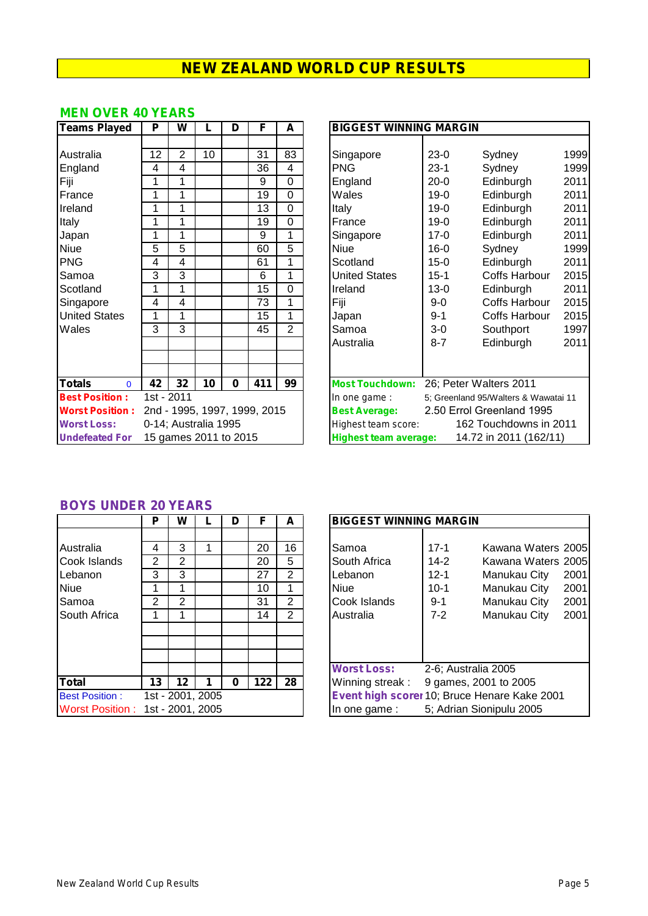#### **MEN OVER 40 YEARS**

| <b>Teams Played</b>       | P  | W                     | L  | D        | F                            | A              | <b>BIGGEST WINNING MARGIN</b>                     |
|---------------------------|----|-----------------------|----|----------|------------------------------|----------------|---------------------------------------------------|
|                           |    |                       |    |          |                              |                |                                                   |
| Australia                 | 12 | $\overline{2}$        | 10 |          | 31                           | 83             | $23-0$<br>Singapore<br>Sydney                     |
| England                   | 4  | 4                     |    |          | 36                           | 4              | <b>PNG</b><br>$23-1$<br>Sydney                    |
| Fiji                      | 1  | 1                     |    |          | 9                            | 0              | $20-0$<br>England<br>Edinburgh                    |
| France                    | 1  | 1                     |    |          | 19                           | 0              | Wales<br>$19-0$<br>Edinburgh                      |
| Ireland                   | 1  | 1                     |    |          | 13                           | 0              | $19 - 0$<br>Edinburgh<br><b>Italy</b>             |
| Italy                     | 1  | 1                     |    |          | 19                           | 0              | $19 - 0$<br>Edinburgh<br>France                   |
| Japan                     | 1  | 1                     |    |          | 9                            | 1              | $17 - 0$<br>Edinburgh<br>Singapore                |
| <b>Niue</b>               | 5  | 5                     |    |          | 60                           | 5              | <b>Niue</b><br>$16 - 0$<br>Sydney                 |
| <b>PNG</b>                | 4  | 4                     |    |          | 61                           | 1              | $15-0$<br>Scotland<br>Edinburgh                   |
| Samoa                     | 3  | 3                     |    |          | 6                            | 1              | <b>United States</b><br>$15 - 1$<br>Coffs Harb    |
| Scotland                  | 1  | 1                     |    |          | 15                           | 0              | $13 - 0$<br>Edinburgh<br>Ireland                  |
| Singapore                 | 4  | 4                     |    |          | 73                           | 1              | Fiji<br>Coffs Harb<br>$9-0$                       |
| <b>United States</b>      | 1  | 1                     |    |          | 15                           | 1              | Coffs Harb<br>$9 - 1$<br>Japan                    |
| Wales                     | 3  | 3                     |    |          | 45                           | $\overline{2}$ | Samoa<br>$3-0$<br>Southport                       |
|                           |    |                       |    |          |                              |                | Edinburgh<br>Australia<br>$8 - 7$                 |
|                           |    |                       |    |          |                              |                |                                                   |
|                           |    |                       |    |          |                              |                |                                                   |
| <b>Totals</b><br>$\Omega$ | 42 | 32                    | 10 | $\bf{0}$ | 411                          | 99             | 26; Peter Walters 2011<br><b>Most Touchdown:</b>  |
| <b>Best Position:</b>     |    | 1st - 2011            |    |          |                              |                | 5; Greenland 95/Walters & V<br>In one game :      |
| <b>Worst Position:</b>    |    |                       |    |          | 2nd - 1995, 1997, 1999, 2015 |                | <b>Best Average:</b><br>2.50 Errol Greenland 1    |
| <b>Worst Loss:</b>        |    | 0-14; Australia 1995  |    |          |                              |                | 162 Touchdowns<br>Highest team score:             |
| <b>Undefeated For</b>     |    | 15 games 2011 to 2015 |    |          |                              |                | 14.72 in 2011 (1)<br><b>Highest team average:</b> |

| <b>Teams Played</b>       | P          | W                     |    | D        | F                            | A              | <b>BIGGEST WINNING MARGIN</b>                          |                        |                                      |      |
|---------------------------|------------|-----------------------|----|----------|------------------------------|----------------|--------------------------------------------------------|------------------------|--------------------------------------|------|
|                           |            |                       |    |          |                              |                |                                                        |                        |                                      |      |
| Australia                 | 12         | 2                     | 10 |          | 31                           | 83             | Singapore                                              | $23-0$                 | Sydney                               | 1999 |
| England                   | 4          | 4                     |    |          | 36                           | 4              | PNG.                                                   | $23 - 1$               | Sydney                               | 1999 |
| Fiji                      | 1          |                       |    |          | 9                            | 0              | England                                                | $20 - 0$               | Edinburgh                            | 2011 |
| France                    | 1          |                       |    |          | 19                           | $\overline{0}$ | Wales                                                  | $19-0$                 | Edinburgh                            | 2011 |
| Ireland                   | 1          | 1                     |    |          | 13                           | $\mathbf 0$    | Italy                                                  | $19 - 0$               | Edinburgh                            | 2011 |
| Italy                     | 1          |                       |    |          | 19                           | 0              | France                                                 | $19 - 0$               | Edinburgh                            | 2011 |
| Japan                     | 1          |                       |    |          | 9                            | 1              | Singapore                                              | $17-0$                 | Edinburgh                            | 2011 |
| <b>Niue</b>               | 5          | 5                     |    |          | 60                           | 5              | Niue                                                   | $16 - 0$               | Sydney                               | 1999 |
| <b>PNG</b>                | 4          | 4                     |    |          | 61                           | 1              | Scotland                                               | $15 - 0$               | Edinburgh                            | 2011 |
| Samoa                     | 3          | 3                     |    |          | 6                            | 1              | <b>United States</b>                                   | $15 - 1$               | Coffs Harbour                        | 2015 |
| Scotland                  |            |                       |    |          | 15                           | 0              | Ireland                                                | $13 - 0$               | Edinburgh                            | 2011 |
| Singapore                 | 4          | 4                     |    |          | 73                           | 1              | Fiji                                                   | 9-0                    | Coffs Harbour                        | 2015 |
| <b>United States</b>      | 1          |                       |    |          | 15                           | 1              | Japan                                                  | $9 - 1$                | <b>Coffs Harbour</b>                 | 2015 |
| Wales                     | 3          | 3                     |    |          | 45                           | $\overline{2}$ | Samoa                                                  | $3-0$                  | Southport                            | 1997 |
|                           |            |                       |    |          |                              |                | Australia                                              | $8 - 7$                | Edinburgh                            | 2011 |
|                           |            |                       |    |          |                              |                |                                                        |                        |                                      |      |
|                           |            |                       |    |          |                              |                |                                                        |                        |                                      |      |
| <b>Totals</b><br>$\Omega$ | 42         | 32                    | 10 | $\bf{0}$ | 411                          | 99             | <b>Most Touchdown:</b>                                 |                        | 26; Peter Walters 2011               |      |
| <b>Best Position:</b>     | 1st - 2011 |                       |    |          |                              |                | In one game :                                          |                        | 5: Greenland 95/Walters & Wawatai 11 |      |
| <b>Worst Position:</b>    |            |                       |    |          | 2nd - 1995, 1997, 1999, 2015 |                | <b>Best Average:</b>                                   |                        | 2.50 Errol Greenland 1995            |      |
| <b>Worst Loss:</b>        |            | 0-14; Australia 1995  |    |          |                              |                | Highest team score:                                    | 162 Touchdowns in 2011 |                                      |      |
| <b>Undefeated For</b>     |            | 15 games 2011 to 2015 |    |          |                              |                | 14.72 in 2011 (162/11)<br><b>Highest team average:</b> |                        |                                      |      |

#### **BOYS UNDER 20 YEARS**

|                                  | Ρ  | W              | L                | D | F   | A              |
|----------------------------------|----|----------------|------------------|---|-----|----------------|
|                                  |    |                |                  |   |     |                |
| Australia                        | 4  | 3              | 1                |   | 20  | 16             |
| Cook Islands                     | 2  | $\overline{2}$ |                  |   | 20  | 5              |
| Lebanon                          | 3  | 3              |                  |   | 27  | $\overline{2}$ |
| <b>Niue</b>                      | 1  | 1              |                  |   | 10  | 1              |
| Samoa                            | 2  | 2              |                  |   | 31  | $\overline{2}$ |
| South Africa                     | 1  | 1              |                  |   | 14  | $\overline{2}$ |
|                                  |    |                |                  |   |     |                |
|                                  |    |                |                  |   |     |                |
|                                  |    |                |                  |   |     |                |
|                                  |    |                |                  |   |     |                |
| <b>Total</b>                     | 13 | 12             | 1                | 0 | 122 | 28             |
| <b>Best Position:</b>            |    |                | 1st - 2001, 2005 |   |     |                |
| Worst Position: 1st - 2001, 2005 |    |                |                  |   |     |                |

|                                                                       | Р                | W                                          | D | F                                | A                                                             | <b>BIGGEST WINNING MARGIN</b>                                                                                                                                                                                                                                                            |
|-----------------------------------------------------------------------|------------------|--------------------------------------------|---|----------------------------------|---------------------------------------------------------------|------------------------------------------------------------------------------------------------------------------------------------------------------------------------------------------------------------------------------------------------------------------------------------------|
| Australia<br>Cook Islands<br>Lebanon<br>Niue<br>Samoa<br>South Africa | 4<br>2<br>3<br>2 | 3<br>$\overline{2}$<br>3<br>$\overline{2}$ |   | 20<br>20<br>27<br>10<br>31<br>14 | 16<br>5<br>$\overline{2}$<br>$\overline{2}$<br>$\overline{2}$ | Kawana Waters 2005<br>$17-1$<br>Samoa<br>South Africa<br>$14 - 2$<br>Kawana Waters 2005<br>$12 - 1$<br>Lebanon<br>Manukau City<br>2001<br>Manukau City<br><b>Niue</b><br>$10-1$<br>2001<br>Manukau City<br>Cook Islands<br>2001<br>$9 - 1$<br>$7-2$<br>Manukau City<br>2001<br>Australia |
| Total<br><b>Best Position:</b>                                        | 13               | $12 \,$<br>1st - 2001, 2005                | 0 | 122                              | 28                                                            | <b>Worst Loss:</b><br>2-6; Australia 2005<br>Winning streak:<br>9 games, 2001 to 2005<br>Event high scorer 10; Bruce Henare Kake 2001                                                                                                                                                    |
| Worst Position : I                                                    |                  | 1st - 2001, 2005                           |   |                                  |                                                               | 5; Adrian Sionipulu 2005<br>In one game:                                                                                                                                                                                                                                                 |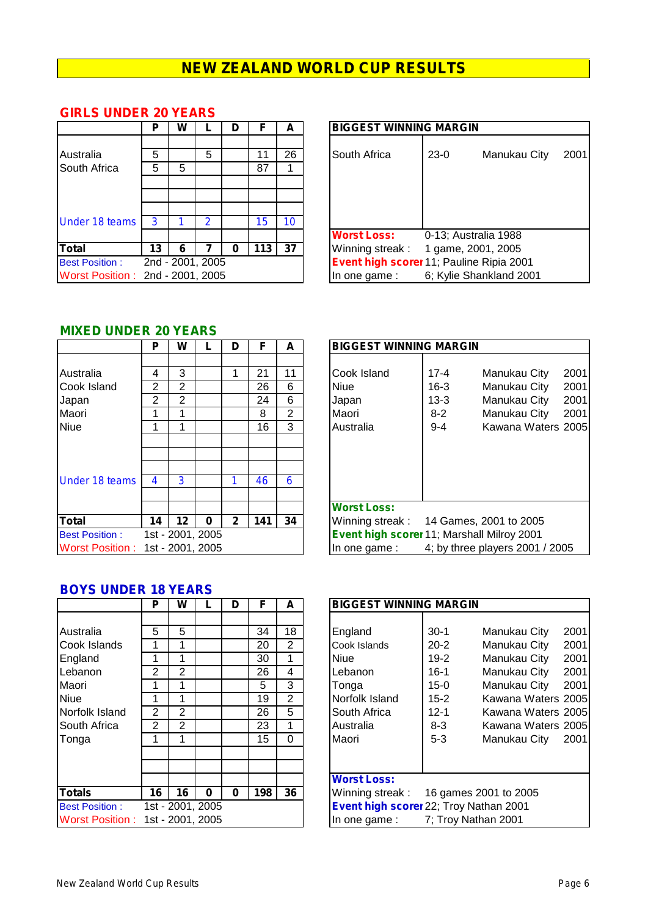|                                  | Ρ      | W |                  | D | F        | A  | <b>BIGGEST WINNING MARGIN</b>                                                       |  |
|----------------------------------|--------|---|------------------|---|----------|----|-------------------------------------------------------------------------------------|--|
| Australia<br><b>South Africa</b> | 5<br>5 | 5 | 5                |   | 11<br>87 | 26 | South Africa<br>$23-0$<br>Manukau City                                              |  |
| Under 18 teams                   | 3      |   | 2                |   | 15       | 10 |                                                                                     |  |
| <b>Total</b>                     | 13     | 6 |                  | O | 113      | 37 | <b>Worst Loss:</b><br>0-13; Australia 1988<br>Winning streak:<br>1 game, 2001, 2005 |  |
| <b>Best Position:</b>            |        |   | 2nd - 2001, 2005 |   |          |    | Event high scorer 11; Pauline Ripia 2001                                            |  |
| Worst Position: 2nd - 2001, 2005 |        |   |                  |   |          |    | 6; Kylie Shankland 2001<br>In one game:                                             |  |

#### **GIRLS UNDER 20 YEARS**

|                       | Р  | W                |   | D | F   | A  | <b>BIGGEST WINNING MARGIN</b>                  |
|-----------------------|----|------------------|---|---|-----|----|------------------------------------------------|
|                       |    |                  |   |   |     |    |                                                |
| Australia             | 5  |                  | 5 |   | 11  | 26 | South Africa<br>2001<br>$23-0$<br>Manukau City |
| South Africa          | 5  | 5                |   |   | 87  |    |                                                |
|                       |    |                  |   |   |     |    |                                                |
|                       |    |                  |   |   |     |    |                                                |
|                       |    |                  |   |   |     |    |                                                |
| Under 18 teams        | -3 |                  |   |   | 15  | 10 |                                                |
|                       |    |                  |   |   |     |    | <b>Worst Loss:</b><br>0-13; Australia 1988     |
| Total                 | 13 | 6                |   | 0 | 113 | 37 | Winning streak:<br>1 game, 2001, 2005          |
| <b>Best Position:</b> |    | 2nd - 2001, 2005 |   |   |     |    | Event high scorer 11; Pauline Ripia 2001       |
| Worst Position : .    |    | 2nd - 2001, 2005 |   |   |     |    | 6; Kylie Shankland 2001<br>In one game:        |

#### **MIXED UNDER 20 YEARS**

|                                  | Р              | w                | L | D            | F   | А  | E                       |
|----------------------------------|----------------|------------------|---|--------------|-----|----|-------------------------|
|                                  |                |                  |   |              |     |    |                         |
| Australia                        | 4              | 3                |   | 1            | 21  | 11 | $\mathsf{C}$            |
| Cook Island                      | $\overline{2}$ | $\overline{2}$   |   |              | 26  | 6  | N                       |
| Japan                            | $\overline{2}$ | $\overline{2}$   |   |              | 24  | 6  | J                       |
| Maori                            | 1              | 1                |   |              | 8   | 2  | N                       |
| <b>Niue</b>                      | 1              | 1                |   |              | 16  | 3  | F                       |
|                                  |                |                  |   |              |     |    |                         |
|                                  |                |                  |   |              |     |    |                         |
|                                  |                |                  |   |              |     |    |                         |
| <b>Under 18 teams</b>            | 4              | 3                |   | 1            | 46  | 6  |                         |
|                                  |                |                  |   |              |     |    |                         |
|                                  |                |                  |   |              |     |    | $\overline{\mathbf{V}}$ |
| <b>Total</b>                     | 14             | 12               | 0 | $\mathbf{2}$ | 141 | 34 | V                       |
| <b>Best Position:</b>            |                | 1st - 2001, 2005 |   |              |     |    | E                       |
| Worst Position: 1st - 2001, 2005 |                |                  |   |              |     |    | II                      |

|                                                           | Р           | W                |   | D            | F                   | A                 | <b>BIGGEST WINNING MARGIN</b>                                                                                                                                                               |
|-----------------------------------------------------------|-------------|------------------|---|--------------|---------------------|-------------------|---------------------------------------------------------------------------------------------------------------------------------------------------------------------------------------------|
| Australia<br>Cook Island<br>Japan<br>Maori                | 4<br>2<br>2 | 3<br>2<br>2      |   |              | 21<br>26<br>24<br>8 | 11<br>6<br>6<br>2 | 2001<br>Cook Island<br>$17 - 4$<br>Manukau City<br>Manukau City<br>2001<br><b>Niue</b><br>$16 - 3$<br>$13 - 3$<br>Manukau City<br>2001<br>Japan<br>$8 - 2$<br>Manukau City<br>2001<br>Maori |
| <b>Niue</b><br>Under 18 teams                             | 4           | 3                |   |              | 16<br>46            | 3<br>6            | Kawana Waters 2005<br>Australia<br>$9 - 4$                                                                                                                                                  |
| Total                                                     | 14          | 12               | 0 | $\mathbf{2}$ | 141                 | 34                | <b>Worst Loss:</b><br>Winning streak:<br>14 Games, 2001 to 2005                                                                                                                             |
| <b>Best Position:</b><br>Worst Position: 1st - 2001. 2005 |             | 1st - 2001, 2005 |   |              |                     |                   | Event high scorer 11; Marshall Milroy 2001<br>4; by three players 2001 / 2005<br>In one game:                                                                                               |

| Р                | W                             |          | D        | F                                                 | A                                                          |                                                                                                                                                                                                                      |                                                                                                                                                                                                                |
|------------------|-------------------------------|----------|----------|---------------------------------------------------|------------------------------------------------------------|----------------------------------------------------------------------------------------------------------------------------------------------------------------------------------------------------------------------|----------------------------------------------------------------------------------------------------------------------------------------------------------------------------------------------------------------|
| 5<br>2<br>2<br>2 | 5<br>2<br>$\overline{2}$<br>2 |          |          | 34<br>20<br>30<br>26<br>5<br>19<br>26<br>23<br>15 | 18<br>$\overline{2}$<br>4<br>3<br>$\overline{2}$<br>5<br>0 | England<br>$30-1$<br>Cook Islands<br>$20 - 2$<br>$19-2$<br><b>Niue</b><br>$16-1$<br>Lebanon<br>$15-0$<br>Tonga<br>Norfolk Island<br>$15 - 2$<br>South Africa<br>$12 - 1$<br>$8 - 3$<br>Australia<br>$5 - 3$<br>Maori | 2001<br>Manukau City<br>Manukau City<br>2001<br>Manukau City<br>2001<br>Manukau City<br>2001<br>2001<br>Manukau City<br>Kawana Waters 2005<br>Kawana Waters 2005<br>Kawana Waters 2005<br>Manukau City<br>2001 |
| 16               | 16                            | $\bf{0}$ | $\bf{0}$ | 198                                               | 36                                                         | <b>Worst Loss:</b><br>Winning streak:<br>In one game:                                                                                                                                                                | 16 games 2001 to 2005<br>7; Troy Nathan 2001                                                                                                                                                                   |
|                  |                               |          |          | 1st - 2001, 2005<br>1st - 2001, 2005              |                                                            |                                                                                                                                                                                                                      | <b>BIGGEST WINNING MARGIN</b><br>Event high scorer 22; Troy Nathan 2001                                                                                                                                        |

#### **BOYS UNDER 18 YEARS**

|                                                                                                                    | Р                                  | W                                                                      |          | D | F                                                 | A                                                                 | <b>BIGGEST WINNING MARGIN</b>                                                                                                                                                                                                                                                                                                                                                                                                                       |
|--------------------------------------------------------------------------------------------------------------------|------------------------------------|------------------------------------------------------------------------|----------|---|---------------------------------------------------|-------------------------------------------------------------------|-----------------------------------------------------------------------------------------------------------------------------------------------------------------------------------------------------------------------------------------------------------------------------------------------------------------------------------------------------------------------------------------------------------------------------------------------------|
| Australia<br>Cook Islands<br>England<br>Lebanon<br>Maori<br><b>Niue</b><br>Norfolk Island<br>South Africa<br>Tonga | 5<br>2<br>1<br>2<br>$\overline{2}$ | 5<br>1<br>$\overline{2}$<br>1<br>$\overline{2}$<br>$\overline{2}$<br>1 |          |   | 34<br>20<br>30<br>26<br>5<br>19<br>26<br>23<br>15 | 18<br>$\overline{2}$<br>4<br>3<br>$\overline{2}$<br>5<br>$\Omega$ | England<br>$30-1$<br>Manukau City<br>2(<br>2 <sup>0</sup><br>$20 - 2$<br>Manukau City<br>Cook Islands<br>Manukau City<br>2 <sup>0</sup><br>Niue<br>$19-2$<br>Manukau City<br>Lebanon<br>$16-1$<br>2(<br>$15 - 0$<br>Manukau City<br>2 <sup>0</sup><br>Tonga<br>Norfolk Island<br>$15 - 2$<br>Kawana Waters 20<br>South Africa<br>$12 - 1$<br>Kawana Waters 20<br>$8 - 3$<br>Kawana Waters 20<br>Australia<br>$5 - 3$<br>Maori<br>Manukau City<br>2( |
| <b>Totals</b><br><b>Best Position:</b><br>Worst Position :                                                         | 16                                 | 16<br>1st - 2001, 2005<br>1st - 2001, 2005                             | $\bf{0}$ | 0 | 198                                               | 36                                                                | <b>Worst Loss:</b><br>Winning streak:<br>16 games 2001 to 2005<br>Event high scorer 22; Troy Nathan 2001<br>7; Troy Nathan 2001<br>In one game:                                                                                                                                                                                                                                                                                                     |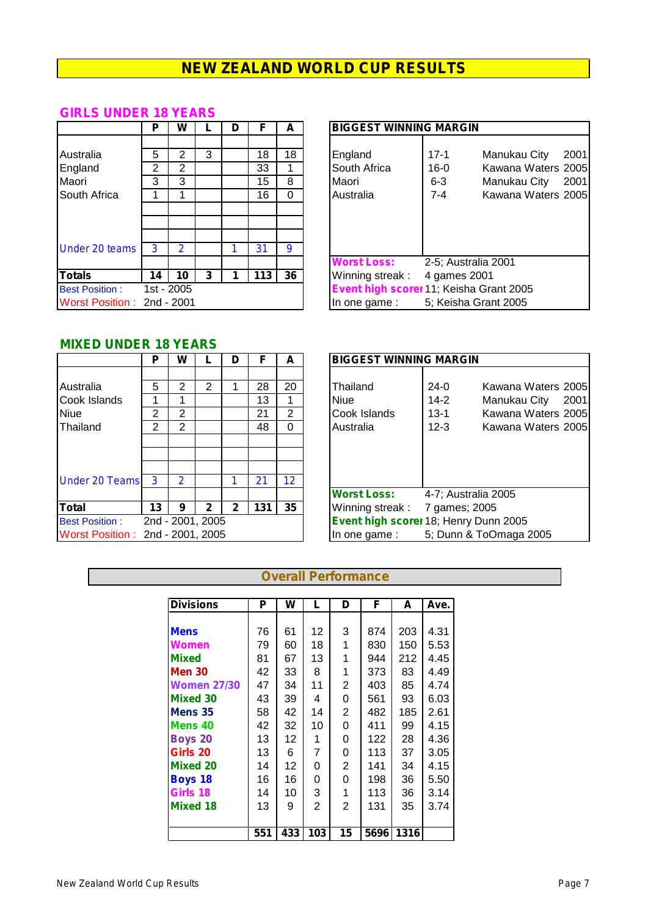#### **GIRLS UNDER 18 YEARS**

|                            | Р  | W          |   | D | F   | A  | <b>BIGGEST WINNING MARGIN</b>                                     |
|----------------------------|----|------------|---|---|-----|----|-------------------------------------------------------------------|
|                            |    |            |   |   |     |    |                                                                   |
| Australia                  | 5  | 2          | 3 |   | 18  | 18 | England<br>$\overline{\phantom{0}}^2$<br>$17 - 1$<br>Manukau City |
| England                    | 2  | 2          |   |   | 33  |    | South Africa<br>Kawana Waters 2<br>$16 - 0$                       |
| Maori                      | 3  | 3          |   |   | 15  | 8  | $6 - 3$<br>Maori<br>Manukau City 2                                |
| <b>South Africa</b>        |    |            |   |   | 16  | 0  | Kawana Waters 2<br>Australia<br>7-4                               |
|                            |    |            |   |   |     |    |                                                                   |
|                            |    |            |   |   |     |    |                                                                   |
|                            |    |            |   |   |     |    |                                                                   |
| <b>Under 20 teams</b>      | 3  | 2          |   |   | 31  | 9  |                                                                   |
|                            |    |            |   |   |     |    | <b>Worst Loss:</b><br>2-5; Australia 2001                         |
| <b>Totals</b>              | 14 | 10         | 3 |   | 113 | 36 | Winning streak:<br>4 games 2001                                   |
| <b>Best Position:</b>      |    | 1st - 2005 |   |   |     |    | Event high scorer 11; Keisha Grant 2005                           |
| Worst Position: 2nd - 2001 |    |            |   |   |     |    | 5; Keisha Grant 2005<br>In one game:                              |

|                                                     | Р      | W                   |   | D | F        | A  | <b>BIGGEST WINNING MARGIN</b>                                                                 |
|-----------------------------------------------------|--------|---------------------|---|---|----------|----|-----------------------------------------------------------------------------------------------|
| Australia<br>England                                | 5<br>2 | $\overline{2}$<br>2 | 3 |   | 18<br>33 | 18 | $17 - 1$<br>2001<br>England<br>Manukau City<br>South Africa<br>$16 - 0$<br>Kawana Waters 2005 |
| Maori                                               | 3      | 3                   |   |   | 15       | 8  | Maori<br>$6 - 3$<br>Manukau City<br>2001                                                      |
| South Africa                                        |        |                     |   |   | 16       | 0  | Kawana Waters 2005<br>$7 - 4$<br>Australia                                                    |
| Under 20 teams                                      | 3      | 2                   |   |   | 31       | 9  |                                                                                               |
|                                                     |        |                     |   |   |          |    | <b>Worst Loss:</b><br>2-5; Australia 2001                                                     |
| <b>Totals</b>                                       | 14     | 10                  | 3 |   | 113      | 36 | Winning streak:<br>4 games 2001                                                               |
| <b>Best Position:</b><br>Worst Position: 2nd - 2001 |        | 1st - 2005          |   |   |          |    | Event high scorer 11; Keisha Grant 2005<br>5; Keisha Grant 2005<br>In one game :              |

#### **MIXED UNDER 18 YEARS**

|                                  | Р  | W                |              | D            | F   | A               | <b>BIGGEST WINNING MARGIN</b>               |
|----------------------------------|----|------------------|--------------|--------------|-----|-----------------|---------------------------------------------|
|                                  |    |                  |              |              |     |                 |                                             |
| Australia                        | 5  | 2                | 2            |              | 28  | 20              | Thailand<br>Kawana Waters 2<br>$24-0$       |
| Cook Islands                     |    |                  |              |              | 13  |                 | Niue<br>$14 - 2$<br>Manukau City 2          |
| <b>Niue</b>                      | 2  | 2                |              |              | 21  | $\overline{2}$  | Cook Islands<br>Kawana Waters 2<br>$13 - 1$ |
| Thailand                         | 2  | 2                |              |              | 48  | 0               | $12 - 3$<br>Australia<br>Kawana Waters 2    |
|                                  |    |                  |              |              |     |                 |                                             |
|                                  |    |                  |              |              |     |                 |                                             |
|                                  |    |                  |              |              |     |                 |                                             |
| <b>Under 20 Teams</b>            | 3  | 2                |              |              | 21  | 12 <sup>°</sup> |                                             |
|                                  |    |                  |              |              |     |                 | <b>Worst Loss:</b><br>4-7: Australia 2005   |
| <b>Total</b>                     | 13 | 9                | $\mathbf{2}$ | $\mathbf{2}$ | 131 | 35              | Winning streak:<br>7 games; 2005            |
| <b>Best Position:</b>            |    | 2nd - 2001, 2005 |              |              |     |                 | Event high scorer 18; Henry Dunn 2005       |
| Worst Position: 2nd - 2001, 2005 |    |                  |              |              |     |                 | 5; Dunn & ToOmaga 2005<br>In one game :     |

|                                                           | Р           | W                |   | D |                      | A                         | <b>BIGGEST WINNING MARGIN</b>                                                                                                                                                                |
|-----------------------------------------------------------|-------------|------------------|---|---|----------------------|---------------------------|----------------------------------------------------------------------------------------------------------------------------------------------------------------------------------------------|
| Australia<br>Cook Islands<br>Niue<br>Thailand             | 5<br>2<br>2 | 2<br>2<br>2      |   |   | 28<br>13<br>21<br>48 | 20<br>$\overline{2}$<br>0 | Thailand<br>$24-0$<br>Kawana Waters 2005<br><b>Niue</b><br>$14 - 2$<br>Manukau City<br>2001<br>Cook Islands<br>$13 - 1$<br>Kawana Waters 2005<br>$12 - 3$<br>Australia<br>Kawana Waters 2005 |
| <b>Under 20 Teams</b>                                     | $\cdot$ 3   | 2                |   |   | 21                   | 12                        |                                                                                                                                                                                              |
| Total                                                     | 13          | 9                | 2 | 2 | 131                  | 35                        | <b>Worst Loss:</b><br>4-7; Australia 2005<br>Winning streak:<br>7 games; 2005                                                                                                                |
| <b>Best Position:</b><br>Worst Position: 2nd - 2001. 2005 |             | 2nd - 2001, 2005 |   |   |                      |                           | Event high scorer 18; Henry Dunn 2005<br>5; Dunn & ToOmaga 2005<br>In one game:                                                                                                              |

#### **Overall Performance**

| <b>Divisions</b>   | Р   | W   | L              | D              | F    | A    | Ave. |
|--------------------|-----|-----|----------------|----------------|------|------|------|
|                    |     |     |                |                |      |      |      |
| <b>Mens</b>        | 76  | 61  | 12.            | 3              | 874  | 203  | 4.31 |
| <b>Women</b>       | 79  | 60  | 18             | 1              | 830  | 150  | 5.53 |
| <b>Mixed</b>       | 81  | 67  | 13             | 1              | 944  | 212  | 4.45 |
| <b>Men 30</b>      | 42  | 33  | 8              | 1              | 373  | 83   | 4.49 |
| <b>Women 27/30</b> | 47  | 34  | 11             | 2              | 403  | 85   | 4.74 |
| <b>Mixed 30</b>    | 43  | 39  | 4              | 0              | 561  | 93   | 6.03 |
| Mens 35            | 58  | 42  | 14             | $\overline{2}$ | 482  | 185  | 2.61 |
| Mens 40            | 42  | 32  | 10             | 0              | 411  | 99   | 4.15 |
| <b>Boys 20</b>     | 13  | 12. | 1              | 0              | 122  | 28   | 4.36 |
| Girls 20           | 13  | 6   | 7              | 0              | 113  | 37   | 3.05 |
| <b>Mixed 20</b>    | 14  | 12  | 0              | $\overline{2}$ | 141  | 34   | 4.15 |
| <b>Boys 18</b>     | 16  | 16  | 0              | 0              | 198  | 36   | 5.50 |
| Girls 18           | 14  | 10  | 3              | 1              | 113  | 36   | 3.14 |
| <b>Mixed 18</b>    | 13  | 9   | $\overline{2}$ | 2              | 131  | 35   | 3.74 |
|                    |     |     |                |                |      |      |      |
|                    | 551 | 433 | 103            | 15             | 5696 | 1316 |      |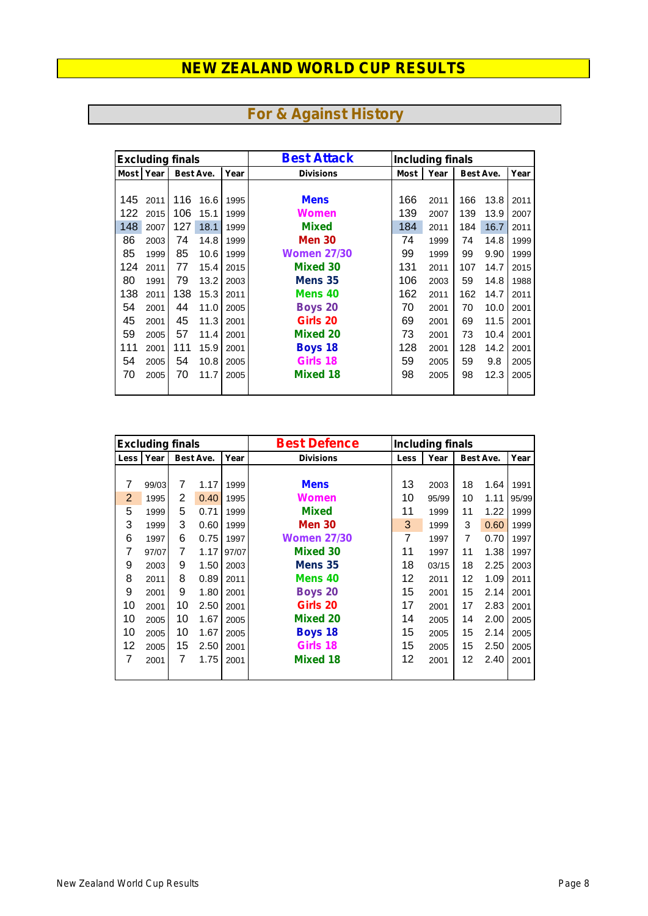|             | <b>Excluding finals</b> |     |           |      | <b>Best Attack</b> | <b>Including finals</b> |      |     |           |      |  |  |
|-------------|-------------------------|-----|-----------|------|--------------------|-------------------------|------|-----|-----------|------|--|--|
| <b>Most</b> | Year                    |     | Best Ave. | Year | <b>Divisions</b>   | <b>Most</b>             | Year |     | Best Ave. | Year |  |  |
|             |                         |     |           |      |                    |                         |      |     |           |      |  |  |
| 145         | 2011                    | 116 | 16.6      | 1995 | <b>Mens</b>        | 166                     | 2011 | 166 | 13.8      | 2011 |  |  |
| 122         | 2015                    | 106 | 15.1      | 1999 | Women              | 139                     | 2007 | 139 | 13.9      | 2007 |  |  |
| 148         | 2007                    | 127 | 18.1      | 1999 | <b>Mixed</b>       | 184                     | 2011 | 184 | 16.7      | 2011 |  |  |
| 86          | 2003                    | 74  | 14.8      | 1999 | <b>Men 30</b>      | 74                      | 1999 | 74  | 14.8      | 1999 |  |  |
| 85          | 1999                    | 85  | 10.6      | 1999 | <b>Women 27/30</b> | 99                      | 1999 | 99  | 9.90      | 1999 |  |  |
| 124         | 2011                    | 77  | 15.4      | 2015 | <b>Mixed 30</b>    | 131                     | 2011 | 107 | 14.7      | 2015 |  |  |
| 80          | 1991                    | 79  | 13.2      | 2003 | Mens 35            | 106                     | 2003 | 59  | 14.8      | 1988 |  |  |
| 138         | 2011                    | 138 | 15.3      | 2011 | Mens 40            | 162                     | 2011 | 162 | 14.7      | 2011 |  |  |
| 54          | 2001                    | 44  | 11.0      | 2005 | <b>Boys 20</b>     | 70                      | 2001 | 70  | 10.0      | 2001 |  |  |
| 45          | 2001                    | 45  | 11.3      | 2001 | Girls 20           | 69                      | 2001 | 69  | 11.5      | 2001 |  |  |
| 59          | 2005                    | 57  | 11.4      | 2001 | <b>Mixed 20</b>    | 73                      | 2001 | 73  | 10.4      | 2001 |  |  |
| 111         | 2001                    | 111 | 15.9      | 2001 | <b>Boys 18</b>     | 128                     | 2001 | 128 | 14.2      | 2001 |  |  |
| 54          | 2005                    | 54  | 10.8      | 2005 | Girls 18           | 59                      | 2005 | 59  | 9.8       | 2005 |  |  |
| 70          | 2005                    | 70  | 11.7      | 2005 | <b>Mixed 18</b>    | 98                      | 2005 | 98  | 12.3      | 2005 |  |  |
|             |                         |     |           |      |                    |                         |      |     |           |      |  |  |

## **For & Against History**

|                | <b>Excluding finals</b> |                |           |       | <b>Best Defence</b> | <b>Including finals</b> |       |    |           |       |
|----------------|-------------------------|----------------|-----------|-------|---------------------|-------------------------|-------|----|-----------|-------|
| Less           | Year                    |                | Best Ave. | Year  | <b>Divisions</b>    | Less                    | Year  |    | Best Ave. | Year  |
|                |                         |                |           |       |                     |                         |       |    |           |       |
| 7              | 99/03                   | 7              | 1.17      | 1999  | <b>Mens</b>         | 13                      | 2003  | 18 | 1.64      | 1991  |
| $\overline{2}$ | 1995                    | 2              | 0.40      | 1995  | Women               | 10                      | 95/99 | 10 | 1.11      | 95/99 |
| 5              | 1999                    | 5              | 0.71      | 1999  | <b>Mixed</b>        | 11                      | 1999  | 11 | 1.22      | 1999  |
| 3              | 1999                    | 3              | 0.60      | 1999  | <b>Men 30</b>       | 3                       | 1999  | 3  | 0.60      | 1999  |
| 6              | 1997                    | 6              | 0.75      | 1997  | <b>Women 27/30</b>  | $\overline{7}$          | 1997  | 7  | 0.70      | 1997  |
| 7              | 97/07                   | 7              | 1.17      | 97/07 | <b>Mixed 30</b>     | 11                      | 1997  | 11 | 1.38      | 1997  |
| 9              | 2003                    | 9              | 1.50      | 2003  | Mens 35             | 18                      | 03/15 | 18 | 2.25      | 2003  |
| 8              | 2011                    | 8              | 0.89      | 2011  | Mens 40             | 12                      | 2011  | 12 | 1.09      | 2011  |
| 9              | 2001                    | 9              | 1.80      | 2001  | <b>Boys 20</b>      | 15                      | 2001  | 15 | 2.14      | 2001  |
| 10             | 2001                    | 10             | 2.50      | 2001  | Girls 20            | 17                      | 2001  | 17 | 2.83      | 2001  |
| 10             | 2005                    | 10             | 1.67      | 2005  | <b>Mixed 20</b>     | 14                      | 2005  | 14 | 2.00      | 2005  |
| 10             | 2005                    | 10             | 1.67      | 2005  | <b>Boys 18</b>      | 15                      | 2005  | 15 | 2.14      | 2005  |
| 12             | 2005                    | 15             | 2.50      | 2001  | Girls 18            | 15                      | 2005  | 15 | 2.50      | 2005  |
| 7              | 2001                    | $\overline{7}$ | 1.75      | 2001  | <b>Mixed 18</b>     | 12                      | 2001  | 12 | 2.40      | 2001  |
|                |                         |                |           |       |                     |                         |       |    |           |       |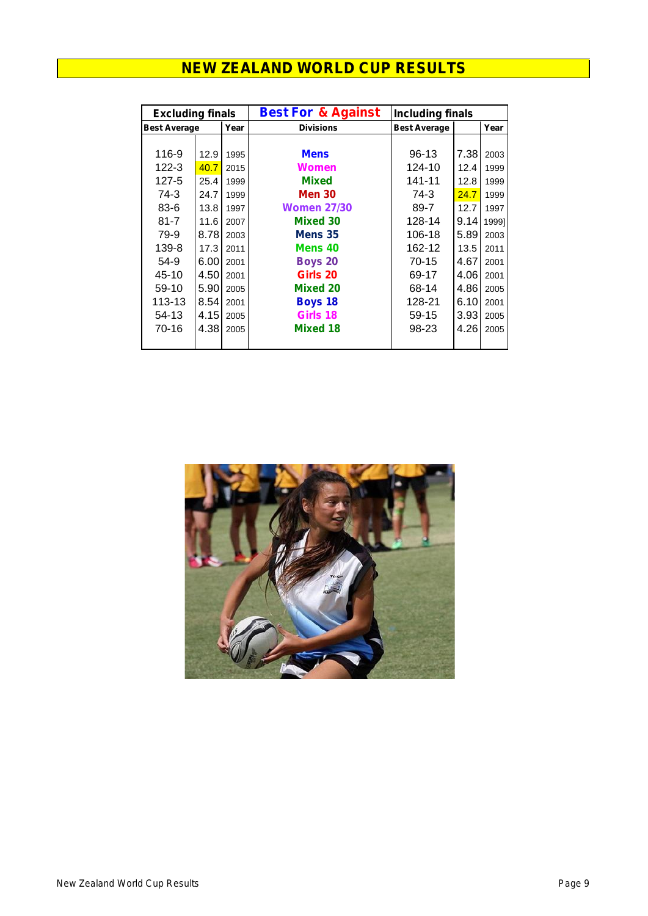| <b>Excluding finals</b> |      |      | <b>Best For &amp; Against</b> | <b>Including finals</b> |      |       |  |  |
|-------------------------|------|------|-------------------------------|-------------------------|------|-------|--|--|
| <b>Best Average</b>     |      | Year | <b>Divisions</b>              | <b>Best Average</b>     |      | Year  |  |  |
|                         |      |      |                               |                         |      |       |  |  |
| 116-9                   | 12.9 | 1995 | <b>Mens</b>                   | $96-13$                 | 7.38 | 2003  |  |  |
| $122 - 3$               | 40.7 | 2015 | Women                         | 124-10                  | 12.4 | 1999  |  |  |
| $127 - 5$               | 25.4 | 1999 | <b>Mixed</b>                  | $141 - 11$              | 12.8 | 1999  |  |  |
| 74-3                    | 24.7 | 1999 | <b>Men 30</b>                 | 74-3                    | 24.7 | 1999  |  |  |
| $83 - 6$                | 13.8 | 1997 | <b>Women 27/30</b>            | 89-7                    | 12.7 | 1997  |  |  |
| $81 - 7$                | 11.6 | 2007 | Mixed 30                      | 128-14                  | 9.14 | 19991 |  |  |
| 79-9                    | 8.78 | 2003 | Mens 35                       | 106-18                  | 5.89 | 2003  |  |  |
| 139-8                   | 17.3 | 2011 | Mens 40                       | 162-12                  | 13.5 | 2011  |  |  |
| 54-9                    | 6.00 | 2001 | <b>Boys 20</b>                | $70 - 15$               | 4.67 | 2001  |  |  |
| 45-10                   | 4.50 | 2001 | Girls 20                      | 69-17                   | 4.06 | 2001  |  |  |
| 59-10                   | 5.90 | 2005 | <b>Mixed 20</b>               | 68-14                   | 4.86 | 2005  |  |  |
| 113-13                  | 8.54 | 2001 | <b>Boys 18</b>                | 128-21                  | 6.10 | 2001  |  |  |
| 54-13                   | 4.15 | 2005 | Girls 18                      | 59-15                   | 3.93 | 2005  |  |  |
| 70-16                   | 4.38 | 2005 | <b>Mixed 18</b>               | 98-23                   | 4.26 | 2005  |  |  |
|                         |      |      |                               |                         |      |       |  |  |

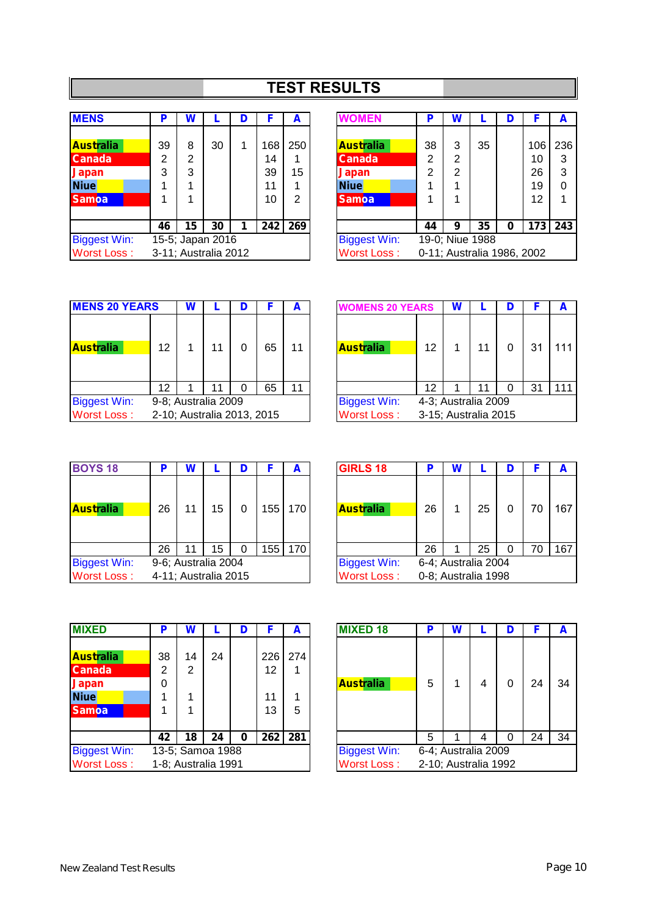## **TEST RESULTS**

| <b>MENS</b>         | P  | W                    |    | D |     | A              | <b>/OMEN</b>        | Р  | W |                           | D |                |
|---------------------|----|----------------------|----|---|-----|----------------|---------------------|----|---|---------------------------|---|----------------|
|                     |    |                      |    |   |     |                |                     |    |   |                           |   |                |
| <b>Australia</b>    | 39 | 8                    | 30 |   | 168 | 250            | <b>Australia</b>    | 38 | 3 | 35                        |   | 10             |
| <b>Canada</b>       | 2  | 2                    |    |   | 14  |                | <b>Canada</b>       | 2  | 2 |                           |   | 1(             |
| <b>Japan</b>        | 3  | 3                    |    |   | 39  | 15             | <b>Japan</b>        | 2  | 2 |                           |   | $\overline{2}$ |
| <b>Niue</b>         |    |                      |    |   | 11  | 1              | <b>Niue</b>         |    |   |                           |   | 19             |
| <b>Samoa</b>        |    |                      |    |   | 10  | $\overline{2}$ | <b>Samoa</b>        |    |   |                           |   | 1:             |
|                     |    |                      |    |   |     |                |                     |    |   |                           |   |                |
|                     | 46 | 15                   | 30 |   | 242 | 269            |                     | 44 | 9 | 35                        | 0 | 17             |
| <b>Biggest Win:</b> |    | 15-5; Japan 2016     |    |   |     |                | <b>Biggest Win:</b> |    |   | 19-0; Niue 1988           |   |                |
| <b>Worst Loss:</b>  |    | 3-11; Australia 2012 |    |   |     |                | <b>Worst Loss:</b>  |    |   | 0-11; Australia 1986, 200 |   |                |

| <b>MENS</b>         | D  | W  |                      | D |     | A              | <b>WOMEN</b>        | Р  | W |                            |   |     | A           |
|---------------------|----|----|----------------------|---|-----|----------------|---------------------|----|---|----------------------------|---|-----|-------------|
|                     |    |    |                      |   |     |                |                     |    |   |                            |   |     |             |
| <b>Australia</b>    | 39 | 8  | 30                   |   | 168 | 250            | <b>Australia</b>    | 38 | 3 | 35                         |   | 106 | 236         |
| <b>Canada</b>       | 2  | 2  |                      |   | 14  |                | <b>Canada</b>       | 2  | 2 |                            |   | 10  | 3           |
| Japan               | 3  | 3  |                      |   | 39  | 15             | Japan               | 2  | っ |                            |   | 26  | 3           |
| <b>Niue</b>         |    |    |                      |   | 11  |                | <b>Niue</b>         |    |   |                            |   | 19  | 0           |
| <b>Samoa</b>        |    |    |                      |   | 10  | $\overline{2}$ | <b>Samoa</b>        |    |   |                            |   | 12  | 4           |
|                     |    |    |                      |   |     |                |                     |    |   |                            |   |     |             |
|                     | 46 | 15 | 30                   |   |     | $242$ 269      |                     | 44 | 9 | 35                         | 0 | 173 | $\vert$ 243 |
| <b>Biggest Win:</b> |    |    | 15-5; Japan 2016     |   |     |                | <b>Biggest Win:</b> |    |   | 19-0; Niue 1988            |   |     |             |
| Worst Loss:         |    |    | 3-11; Australia 2012 |   |     |                | <b>Worst Loss:</b>  |    |   | 0-11; Australia 1986, 2002 |   |     |             |
|                     |    |    |                      |   |     |                |                     |    |   |                            |   |     |             |

| <b>MENS 20 YEARS</b>               |    | W |                                                   | D |    | A  | <b>WOMENS 20 YEARS</b>                    |    | W                                           |    |    |  |
|------------------------------------|----|---|---------------------------------------------------|---|----|----|-------------------------------------------|----|---------------------------------------------|----|----|--|
| <b>Australia</b>                   | 12 |   | 11                                                |   | 65 | 11 | <b>Australia</b>                          | 12 |                                             |    | 31 |  |
|                                    | 12 |   | 11                                                |   | 65 | 11 |                                           | 12 |                                             | 44 | 31 |  |
| <b>Biggest Win:</b><br>Worst Loss: |    |   | 9-8; Australia 2009<br>2-10; Australia 2013, 2015 |   |    |    | <b>Biggest Win:</b><br><b>Worst Loss:</b> |    | 4-3; Australia 2009<br>3-15; Australia 2015 |    |    |  |

| <b>MENS 20 YEARS</b> |    | W |                            |    | A  | <b>WOMENS 20 YEARS</b> |                      | W |    |    | A   |
|----------------------|----|---|----------------------------|----|----|------------------------|----------------------|---|----|----|-----|
| <b>Australia</b>     | 12 |   |                            | 65 | 11 | <b>Australia</b>       | 12                   |   | 11 | 31 | 111 |
|                      | 12 |   |                            | 65 | 11 |                        | 12                   |   | 11 | 31 | 111 |
| <b>Biggest Win:</b>  |    |   | 9-8; Australia 2009        |    |    | <b>Biggest Win:</b>    | 4-3; Australia 2009  |   |    |    |     |
| Worst Loss:          |    |   | 2-10; Australia 2013, 2015 |    |    | Worst Loss:            | 3-15; Australia 2015 |   |    |    |     |

| <b>BOYS 18</b>      | P  | W        |                      |   |       | А   | <b>GIRLS 18</b>     | o  | W |                     | D |    |
|---------------------|----|----------|----------------------|---|-------|-----|---------------------|----|---|---------------------|---|----|
| <b>Australia</b>    | 26 | 11       | 15                   | 0 | 155   | 170 | <b>Australia</b>    | 26 |   | 25                  | 0 | 70 |
|                     | 26 | (1)<br>4 | 15                   |   | 155 I | 170 |                     | 26 |   | 25                  | 0 | 70 |
| <b>Biggest Win:</b> |    |          | 9-6; Australia 2004  |   |       |     | <b>Biggest Win:</b> |    |   | 6-4; Australia 2004 |   |    |
| <b>Worst Loss:</b>  |    |          | 4-11; Australia 2015 |   |       |     | <b>Worst Loss:</b>  |    |   | 0-8; Australia 1998 |   |    |

| n  | w  |    |   |                                             | A | <b>GIRLS 18</b>     | D  | W |    |                                            | A   |
|----|----|----|---|---------------------------------------------|---|---------------------|----|---|----|--------------------------------------------|-----|
|    |    |    |   |                                             |   |                     |    |   |    |                                            |     |
|    |    |    |   |                                             |   |                     |    |   |    |                                            |     |
| 26 | 11 | 15 | 0 | 155                                         |   | <b>Australia</b>    | 26 |   | 25 | 70                                         | 167 |
|    |    |    |   |                                             |   |                     |    |   |    |                                            |     |
|    |    |    |   |                                             |   |                     |    |   |    |                                            |     |
| 26 | 11 | 15 | 0 |                                             |   |                     | 26 |   | 25 | 70                                         | 167 |
|    |    |    |   |                                             |   | <b>Biggest Win:</b> |    |   |    |                                            |     |
|    |    |    |   |                                             |   | <b>Worst Loss:</b>  |    |   |    |                                            |     |
|    |    |    |   | 9-6; Australia 2004<br>4-11; Australia 2015 |   | 170<br>155 170      |    |   |    | 6-4; Australia 2004<br>0-8; Australia 1998 |     |

| <b>MIXED</b>        | P  | W  |                     | D |     | A   | <b>MIXED 18</b>     | D | Λ                    |  | F  |  |
|---------------------|----|----|---------------------|---|-----|-----|---------------------|---|----------------------|--|----|--|
|                     |    |    |                     |   |     |     |                     |   |                      |  |    |  |
| <b>Australia</b>    | 38 | 14 | 24                  |   | 226 | 274 |                     |   |                      |  |    |  |
| <b>Canada</b>       | 2  | 2  |                     |   | 12  |     |                     |   |                      |  |    |  |
| <b>Japan</b>        | 0  |    |                     |   |     |     | <b>Australia</b>    | 5 |                      |  | 24 |  |
| <b>Niue</b>         |    |    |                     |   | 11  |     |                     |   |                      |  |    |  |
| <b>Samoa</b>        |    |    |                     |   | 13  | 5   |                     |   |                      |  |    |  |
|                     |    |    |                     |   |     |     |                     |   |                      |  |    |  |
|                     | 42 | 18 | 24                  | 0 | 262 | 281 |                     | 5 |                      |  | 24 |  |
| <b>Biggest Win:</b> |    |    | 13-5; Samoa 1988    |   |     |     | <b>Biggest Win:</b> |   | 6-4; Australia 2009  |  |    |  |
| Worst Loss:         |    |    | 1-8; Australia 1991 |   |     |     | <b>Worst Loss:</b>  |   | 2-10; Australia 1992 |  |    |  |

| <b>MIXED</b>        | P  | W  |                     | D |     | A                    | <b>MIXED 18</b>     | P | W                    |   |    | A  |
|---------------------|----|----|---------------------|---|-----|----------------------|---------------------|---|----------------------|---|----|----|
|                     |    |    |                     |   |     |                      |                     |   |                      |   |    |    |
| <b>Australia</b>    | 38 | 14 | 24                  |   | 226 | 274                  |                     |   |                      |   |    |    |
| <b>Canada</b>       | 2  | 2  |                     |   | 12  |                      |                     |   |                      |   |    |    |
| Japan               | 0  |    |                     |   |     |                      | <b>Australia</b>    | 5 |                      | 4 | 24 | 34 |
| <b>Niue</b>         |    |    |                     |   | 11  |                      |                     |   |                      |   |    |    |
| <b>Samoa</b>        |    |    |                     |   | 13  | 5                    |                     |   |                      |   |    |    |
|                     |    |    |                     |   |     |                      |                     |   |                      |   |    |    |
|                     | 42 | 18 | 24                  | 0 |     | $262 \overline{281}$ |                     | 5 |                      | 4 | 24 | 34 |
| <b>Biggest Win:</b> |    |    | 13-5; Samoa 1988    |   |     |                      | <b>Biggest Win:</b> |   | 6-4; Australia 2009  |   |    |    |
| Worst Loss:         |    |    | 1-8; Australia 1991 |   |     |                      | <b>Worst Loss:</b>  |   | 2-10; Australia 1992 |   |    |    |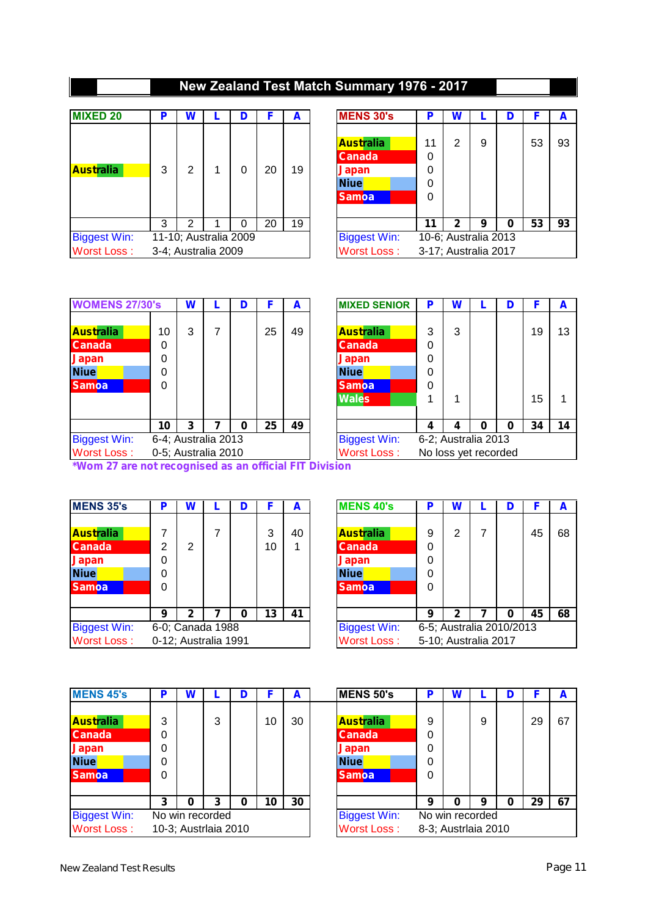## **New Zealand Test Match Summary 1976 - 2017**

| <b>MIXED 20</b>     | Р | W              |                       | D |    | A  | <b>MENS 30's</b>                                                                 | D                | W |                      | F  |  |
|---------------------|---|----------------|-----------------------|---|----|----|----------------------------------------------------------------------------------|------------------|---|----------------------|----|--|
| <b>Australia</b>    | 3 | $\overline{2}$ |                       | 0 | 20 | 19 | <b>Australia</b><br><b>Canada</b><br><b>Japan</b><br><b>Niue</b><br><b>Samoa</b> | 0<br>0<br>0<br>0 | Ω | 9                    | 53 |  |
|                     | 3 | 2              |                       | 0 | 20 | 19 |                                                                                  | 11               | 2 | 9                    | 53 |  |
| <b>Biggest Win:</b> |   |                | 11-10; Australia 2009 |   |    |    | <b>Biggest Win:</b>                                                              |                  |   | 10-6; Australia 2013 |    |  |
| <b>Worst Loss:</b>  |   |                | 3-4; Australia 2009   |   |    |    | <b>Worst Loss:</b>                                                               |                  |   | 3-17; Australia 2017 |    |  |

| <b>MIXED 20</b>     | P | W |                     | D                     |    | A  | <b>MENS 30's</b>    | Р  | W |                      |    | A  |
|---------------------|---|---|---------------------|-----------------------|----|----|---------------------|----|---|----------------------|----|----|
|                     |   |   |                     |                       |    |    |                     |    |   |                      |    |    |
|                     |   |   |                     |                       |    |    | <b>Australia</b>    | 11 | っ | 9                    | 53 | 93 |
|                     |   |   |                     |                       |    |    | <b>Canada</b>       | 0  |   |                      |    |    |
| <b>Australia</b>    | 3 | 2 |                     | 0                     | 20 | 19 | Japan               | 0  |   |                      |    |    |
|                     |   |   |                     |                       |    |    | <b>Niue</b>         | 0  |   |                      |    |    |
|                     |   |   |                     |                       |    |    | <b>Samoa</b>        | 0  |   |                      |    |    |
|                     |   |   |                     |                       |    |    |                     |    |   |                      |    |    |
|                     | 3 | ົ |                     | 0                     | 20 | 19 |                     | 11 | າ | 9                    | 53 | 93 |
| <b>Biggest Win:</b> |   |   |                     | 11-10; Australia 2009 |    |    | <b>Biggest Win:</b> |    |   | 10-6; Australia 2013 |    |    |
| Worst Loss:         |   |   | 3-4; Australia 2009 |                       |    |    | <b>Worst Loss:</b>  |    |   | 3-17; Australia 2017 |    |    |
|                     |   |   |                     |                       |    |    |                     |    |   |                      |    |    |

| <b>WOMENS 27/30's</b>                                                            |                        | W |                     | D | F  | A  | <b>MIXED SENIOR</b>                                                                       | P | W |                      |          |  |
|----------------------------------------------------------------------------------|------------------------|---|---------------------|---|----|----|-------------------------------------------------------------------------------------------|---|---|----------------------|----------|--|
| <b>Australia</b><br><b>Canada</b><br><b>Japan</b><br><b>Niue</b><br><b>Samoa</b> | 10<br>0<br>0<br>0<br>0 | 3 | 7                   |   | 25 | 49 | <b>Australia</b><br><b>Canada</b><br>Japan<br><b>Niue</b><br><b>Samoa</b><br><b>Wales</b> | 0 | 3 |                      | 19<br>15 |  |
|                                                                                  | 10                     | 3 |                     | 0 | 25 | 49 |                                                                                           | Δ |   |                      | 34       |  |
| <b>Biggest Win:</b>                                                              |                        |   | 6-4; Australia 2013 |   |    |    | <b>Biggest Win:</b>                                                                       |   |   | 6-2; Australia 2013  |          |  |
| <b>Worst Loss:</b>                                                               |                        |   | 0-5; Australia 2010 |   |    |    | <b>Worst Loss:</b>                                                                        |   |   | No loss yet recorded |          |  |

| <b>WOMENS 27/30's</b> |    | W |                     | D |    | A  | <b>MIXED SENIOR</b> | P | W |                      | F  | A  |
|-----------------------|----|---|---------------------|---|----|----|---------------------|---|---|----------------------|----|----|
|                       |    |   |                     |   |    |    |                     |   |   |                      |    |    |
| Australia             | 10 | 3 |                     |   | 25 | 49 | <b>Australia</b>    | 3 | 3 |                      | 19 | 13 |
| <b>Canada</b>         | 0  |   |                     |   |    |    | <b>Canada</b>       | 0 |   |                      |    |    |
| Japan                 | 0  |   |                     |   |    |    | <b>Japan</b>        | 0 |   |                      |    |    |
| <b>Niue</b>           | 0  |   |                     |   |    |    | <b>Niue</b>         | 0 |   |                      |    |    |
| <b>Samoa</b>          | 0  |   |                     |   |    |    | <b>Samoa</b>        | 0 |   |                      |    |    |
|                       |    |   |                     |   |    |    | <b>Wales</b>        |   |   |                      | 15 | 1  |
|                       |    |   |                     |   |    |    |                     |   |   |                      |    |    |
|                       | 10 | 3 |                     | Ω | 25 | 49 |                     | 4 | 4 | o                    | 34 | 14 |
| Biggest Win:          |    |   | 6-4; Australia 2013 |   |    |    | <b>Biggest Win:</b> |   |   | 6-2; Australia 2013  |    |    |
| Worst Loss:           |    |   | 0-5; Australia 2010 |   |    |    | <b>Worst Loss:</b>  |   |   | No loss yet recorded |    |    |

*\*Wom 27 are not recognised as an official FIT Division*

| <b>MENS 35's</b>    | Р | W           |                      | D |    | A  | <b>MENS 40's</b>    | D | W                    |                          | F  |
|---------------------|---|-------------|----------------------|---|----|----|---------------------|---|----------------------|--------------------------|----|
|                     |   |             |                      |   |    |    |                     |   |                      |                          |    |
| <b>Australia</b>    | 7 |             | 7                    |   | 3  | 40 | <b>Australia</b>    | 9 | っ                    |                          | 45 |
| <b>Canada</b>       | 2 | 2           |                      |   | 10 |    | <b>Canada</b>       | 0 |                      |                          |    |
| <b>Japan</b>        | 0 |             |                      |   |    |    | <b>Japan</b>        | 0 |                      |                          |    |
| <b>Niue</b>         | 0 |             |                      |   |    |    | <b>Niue</b>         | 0 |                      |                          |    |
| <b>Samoa</b>        | 0 |             |                      |   |    |    | <b>Samoa</b>        | 0 |                      |                          |    |
|                     | 9 | $\mathbf 2$ |                      | 0 | 13 | 41 |                     | 9 | 2                    |                          | 45 |
| <b>Biggest Win:</b> |   |             | 6-0; Canada 1988     |   |    |    | <b>Biggest Win:</b> |   |                      | 6-5; Australia 2010/2013 |    |
| <b>Worst Loss:</b>  |   |             | 0-12; Australia 1991 |   |    |    | <b>Worst Loss:</b>  |   | 5-10; Australia 2017 |                          |    |

| <b>MENS 35's</b>    | o | W              |                      | D |    | A  | <b>MENS 40's</b>    | Р                        | W |                      |    | A  |
|---------------------|---|----------------|----------------------|---|----|----|---------------------|--------------------------|---|----------------------|----|----|
|                     |   |                |                      |   |    |    |                     |                          |   |                      |    |    |
| <b>Australia</b>    | 7 |                |                      |   | 3  | 40 | <b>Australia</b>    | 9                        | 2 |                      | 45 | 68 |
| <b>Canada</b>       | 2 | $\overline{2}$ |                      |   | 10 |    | <b>Canada</b>       | 0                        |   |                      |    |    |
| Japan               | 0 |                |                      |   |    |    | <b>Japan</b>        | 0                        |   |                      |    |    |
| <b>Niue</b>         | 0 |                |                      |   |    |    | <b>Niue</b>         | 0                        |   |                      |    |    |
| <b>Samoa</b>        | 0 |                |                      |   |    |    | <b>Samoa</b>        | 0                        |   |                      |    |    |
|                     |   |                |                      |   |    |    |                     |                          |   |                      |    |    |
|                     | 9 | າ              |                      | Ω | 13 | 41 |                     | 9                        | 2 |                      | 45 | 68 |
| <b>Biggest Win:</b> |   |                | 6-0; Canada 1988     |   |    |    | <b>Biggest Win:</b> | 6-5; Australia 2010/2013 |   |                      |    |    |
| Worst Loss:         |   |                | 0-12; Australia 1991 |   |    |    | <b>Worst Loss:</b>  |                          |   | 5-10; Australia 2017 |    |    |

| <b>MENS 45's</b>    | Þ | W |                      | D |    | A  | MENS 50's           | Р | W                   |   | D |    | A  |
|---------------------|---|---|----------------------|---|----|----|---------------------|---|---------------------|---|---|----|----|
|                     |   |   |                      |   |    |    |                     |   |                     |   |   |    |    |
| <b>Australia</b>    | 3 |   | 3                    |   | 10 | 30 | <b>Australia</b>    | 9 |                     | 9 |   | 29 | 67 |
| <b>Canada</b>       | 0 |   |                      |   |    |    | <b>Canada</b>       | 0 |                     |   |   |    |    |
| <b>Japan</b>        | 0 |   |                      |   |    |    | <b>Japan</b>        | 0 |                     |   |   |    |    |
| Niue                | 0 |   |                      |   |    |    | <b>Niue</b>         | 0 |                     |   |   |    |    |
| <b>Samoa</b>        | 0 |   |                      |   |    |    | <b>Samoa</b>        | 0 |                     |   |   |    |    |
|                     |   |   |                      |   |    |    |                     |   |                     |   |   |    |    |
|                     | 3 | 0 | 3                    | 0 | 10 | 30 |                     | 9 | 0                   | 9 | ი | 29 | 67 |
| <b>Biggest Win:</b> |   |   | No win recorded      |   |    |    | <b>Biggest Win:</b> |   | No win recorded     |   |   |    |    |
| <b>Worst Loss:</b>  |   |   | 10-3; Austrlaia 2010 |   |    |    | <b>Worst Loss:</b>  |   | 8-3; Austrlaia 2010 |   |   |    |    |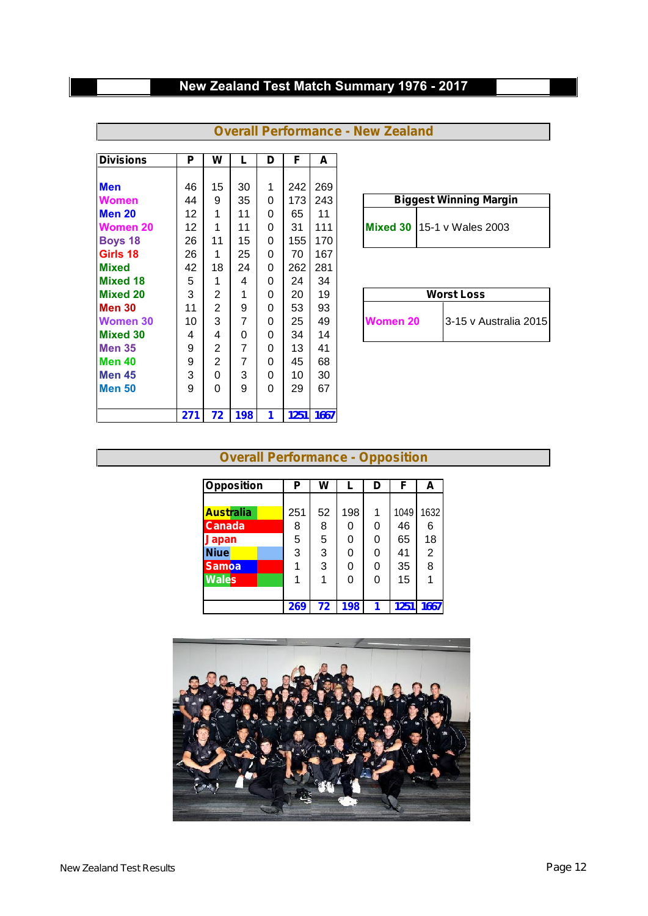## **New Zealand Test Match Summary 1976 - 2017**

| <b>Divisions</b>  | P   | W              | L   | D        | F    | A    |                                     |
|-------------------|-----|----------------|-----|----------|------|------|-------------------------------------|
|                   |     |                |     |          |      |      |                                     |
| <b>Men</b>        | 46  | 15             | 30  | 1        | 242  | 269  |                                     |
| <b>Women</b>      | 44  | 9              | 35  | 0        | 173  | 243  | <b>Biggest Winning Margin</b>       |
| Men 20            | 12  | 1              | 11  | 0        | 65   | 11   |                                     |
| <b>Women 20</b>   | 12  | 1              | 11  | 0        | 31   | 111  | <b>Mixed 30   15-1 v Wales 2003</b> |
| <b>Boys 18</b>    | 26  | 11             | 15  | 0        | 155  | 170  |                                     |
| Girls 18          | 26  | 1              | 25  | $\Omega$ | 70   | 167  |                                     |
| <b>Mixed</b>      | 42  | 18             | 24  | 0        | 262  | 281  |                                     |
| <b>Mixed 18</b>   | 5   | 1              | 4   | 0        | 24   | 34   |                                     |
| <b>Mixed 20</b>   | 3   | 2              | 1   | $\Omega$ | 20   | 19   | <b>Worst Loss</b>                   |
| <b>Men 30</b>     | 11  | $\overline{2}$ | 9   | 0        | 53   | 93   |                                     |
| Women 30          | 10  | 3              | 7   | 0        | 25   | 49   | 3-15 v Australia 2015<br>Women 20   |
| <b>Mixed 30</b>   | 4   | 4              | 0   | $\Omega$ | 34   | 14   |                                     |
| <b>Men 35</b>     | 9   | 2              | 7   | 0        | 13   | 41   |                                     |
| Men 40            | 9   | $\overline{2}$ | 7   | $\Omega$ | 45   | 68   |                                     |
| Men <sub>45</sub> | 3   | $\Omega$       | 3   | 0        | 10   | 30   |                                     |
| <b>Men 50</b>     | 9   | $\Omega$       | 9   | 0        | 29   | 67   |                                     |
|                   | 271 | 72             | 198 | 1        | 1251 | 1667 |                                     |

| <b>Overall Performance - New Zealand</b> |  |
|------------------------------------------|--|
|------------------------------------------|--|

| <b>Biggest Winning Wargin</b> |
|-------------------------------|
| Mixed 30 $15-1$ v Wales 2003  |

|                 | <b>Worst Loss</b>     |
|-----------------|-----------------------|
| <b>Women 20</b> | 3-15 v Australia 2015 |

#### **Overall Performance - Opposition**

| <b>Opposition</b> | Ρ   | W  |     | D | F    | A    |
|-------------------|-----|----|-----|---|------|------|
|                   |     |    |     |   |      |      |
| <b>Australia</b>  | 251 | 52 | 198 | 1 | 1049 | 1632 |
| <b>Canada</b>     | 8   | 8  | 0   | 0 | 46   | 6    |
| <b>Japan</b>      | 5   | 5  | 0   | 0 | 65   | 18   |
| <b>Niue</b>       | 3   | 3  | 0   | 0 | 41   | 2    |
| <b>Samoa</b>      |     | 3  | 0   | 0 | 35   | 8    |
| <b>Wales</b>      | 1   | 1  | 0   | 0 | 15   |      |
|                   |     |    |     |   |      |      |
|                   | 269 | 72 | 198 | 1 | 1251 | 1667 |

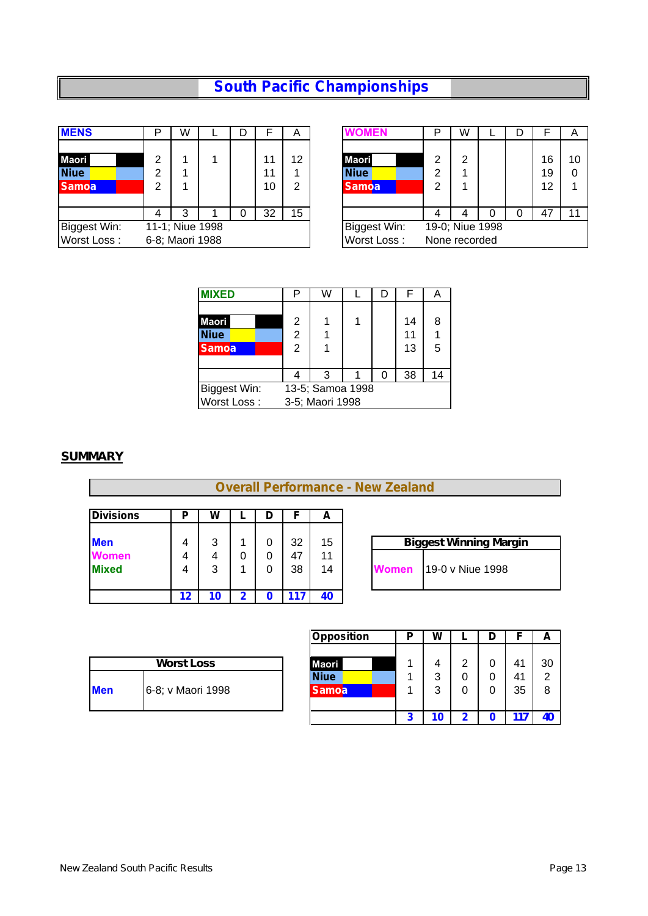## **South Pacific Championships**

| <b>MENS</b>  | ח               | W |  |    | $\overline{A}$ | <b>OMEN</b>  | D | W               |  |    | A  |
|--------------|-----------------|---|--|----|----------------|--------------|---|-----------------|--|----|----|
|              |                 |   |  |    |                |              |   |                 |  |    |    |
| <b>Maori</b> | ⌒               |   |  | 11 | 12             | <b>Maori</b> | ⌒ | ◠               |  | 16 | 10 |
| <b>Niue</b>  | ⌒               |   |  | 11 |                | <b>Niue</b>  | ⌒ |                 |  | 19 | 0  |
| <b>Samoa</b> | ⌒               |   |  | 10 | ◠              | Samoa        | 2 |                 |  | 12 |    |
|              |                 |   |  |    |                |              |   |                 |  |    |    |
|              |                 | 3 |  | 32 | 15             |              |   |                 |  | 47 | 11 |
| Biggest Win: | 11-1; Niue 1998 |   |  |    |                | Biggest Win: |   | 19-0; Niue 1998 |  |    |    |
| Worst Loss:  | 6-8; Maori 1988 |   |  |    |                | Worst Loss:  |   | None recorded   |  |    |    |

| D |                |  |    |    |              | D               |   |   |    |    |
|---|----------------|--|----|----|--------------|-----------------|---|---|----|----|
|   | W              |  |    | A  | OMEN         |                 | W | D |    | A  |
|   |                |  |    |    |              |                 |   |   |    |    |
| 2 | л              |  | 11 | 12 | <b>Maori</b> | ⌒               | 2 |   | 16 | 10 |
| 2 |                |  | 11 | л  | <b>Niue</b>  | 2               |   |   | 19 | 0  |
| 2 |                |  | 10 | 2  | <b>Samoa</b> | っ               |   |   | 12 |    |
|   |                |  |    |    |              |                 |   |   |    |    |
| 4 | 3              |  | 32 | 15 |              | 4               |   | 0 | 47 |    |
|   | I-1; Niue 1998 |  |    |    | Biggest Win: | 19-0; Niue 1998 |   |   |    |    |
|   | 8; Maori 1988  |  |    |    | Worst Loss:  | None recorded   |   |   |    |    |

| <b>MIXED</b> | Р              | W                |  | F  | Α  |
|--------------|----------------|------------------|--|----|----|
|              |                |                  |  |    |    |
| <b>Maori</b> | 2              |                  |  | 14 | 8  |
| <b>Niue</b>  | $\overline{2}$ |                  |  | 11 |    |
| <b>Samoa</b> | 2              |                  |  | 13 | 5  |
|              |                |                  |  |    |    |
|              |                | 3                |  | 38 | 14 |
| Biggest Win: |                | 13-5; Samoa 1998 |  |    |    |
| Worst Loss:  |                | 3-5; Maori 1998  |  |    |    |

**Overall Performance - New Zealand**

#### *SUMMARY*

| <b>Divisions</b> | Р  | W |   | D | F  | A  |                                  |
|------------------|----|---|---|---|----|----|----------------------------------|
| <b>Men</b>       | 4  | 3 |   |   | 32 | 15 | <b>Biggest Winning Margin</b>    |
| <b>Women</b>     | 4  | 4 | U | 0 | 47 | 11 |                                  |
| <b>Mixed</b>     | 4  | 3 |   |   | 38 | 14 | 19-0 v Niue 1998<br><b>Women</b> |
|                  |    |   |   |   |    |    |                                  |
|                  | 12 |   |   |   | 17 | 40 |                                  |

|              | <b>Biggest Winning Margin</b> |
|--------------|-------------------------------|
| <b>Women</b> | 19-0 v Niue 1998              |

|     |                   | <b>Opposition</b> | D | w | ► | D |    | A  |
|-----|-------------------|-------------------|---|---|---|---|----|----|
|     | <b>Worst Loss</b> | <b>Maori</b>      |   | 4 | っ |   | 41 | 30 |
|     |                   | <b>Niue</b>       |   | 3 | 0 | 0 | 41 | 2  |
| Men | 6-8; v Maori 1998 | <b>Samoa</b>      |   | 3 |   | 0 | 35 | 8  |
|     |                   |                   |   |   | ◚ |   |    | 40 |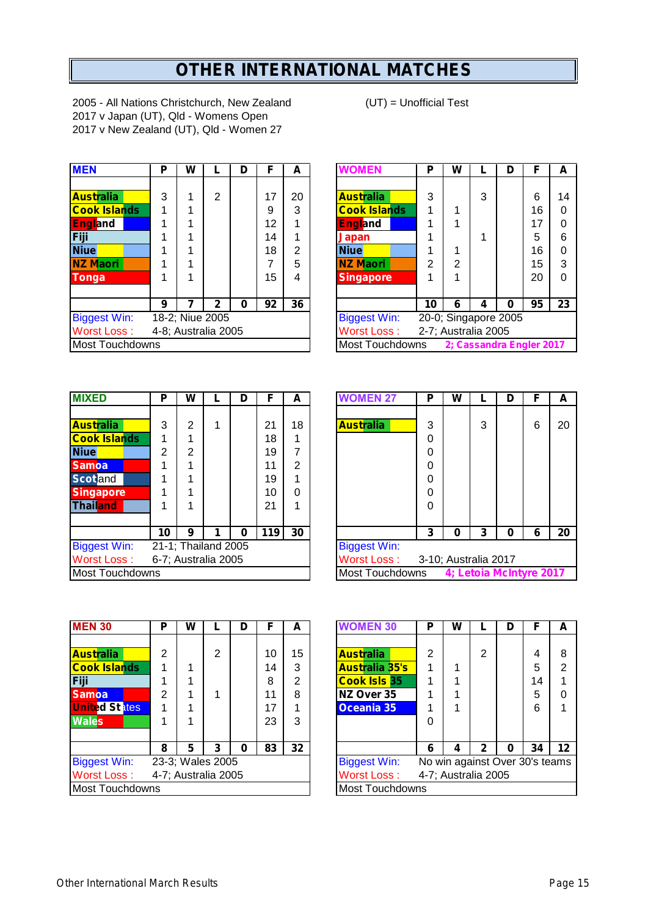# **OTHER INTERNATIONAL MATCHES**

2005 - All Nations Christchurch, New Zealand (UT) = Unofficial Test 2017 v Japan (UT), Qld - Womens Open 2017 v New Zealand (UT), Qld - Women 27

| <b>MEN</b>             | P | W |                     | D | F  | А  | <b>WOMEN</b>           | P  | W                    |   | D        | F                        | А        |
|------------------------|---|---|---------------------|---|----|----|------------------------|----|----------------------|---|----------|--------------------------|----------|
|                        |   |   |                     |   |    |    |                        |    |                      |   |          |                          |          |
| <b>Australia</b>       | 3 |   | 2                   |   | 17 | 20 | <b>Australia</b>       | 3  |                      | 3 |          | 6                        | $1\cdot$ |
| <b>Cook Islands</b>    |   |   |                     |   | 9  | 3  | <b>Cook Islands</b>    |    |                      |   |          | 16                       | 0        |
| <b>England</b>         |   |   |                     |   | 12 |    | <b>England</b>         |    |                      |   |          | 17                       | 0        |
| Fiji                   |   |   |                     |   | 14 |    | Japan                  |    |                      |   |          | 5                        | 6        |
| <b>Niue</b>            |   |   |                     |   | 18 | 2  | Niue                   |    |                      |   |          | 16                       | 0        |
| <b>NZ Maori</b>        |   |   |                     |   | 7  | 5  | <b>NZ Maori</b>        | 2  | 2                    |   |          | 15                       | 3        |
| Tonga                  |   |   |                     |   | 15 | 4  | <b>Singapore</b>       |    |                      |   |          | 20                       | 0        |
|                        | 9 |   | 2                   | 0 | 92 | 36 |                        | 10 | 6                    | 4 | $\bf{0}$ | 95                       | 2:       |
| <b>Biggest Win:</b>    |   |   | 18-2; Niue 2005     |   |    |    | <b>Biggest Win:</b>    |    | 20-0; Singapore 2005 |   |          |                          |          |
| <b>Worst Loss:</b>     |   |   | 4-8; Australia 2005 |   |    |    | <b>Worst Loss:</b>     |    | 2-7; Australia 2005  |   |          |                          |          |
| <b>Most Touchdowns</b> |   |   |                     |   |    |    | <b>Most Touchdowns</b> |    |                      |   |          | 2; Cassandra Engler 2017 |          |

|                 | W |   | D | F                                      | A  | <b>WOMEN</b>        | P  | W               |   | D | F                   | A                                                |
|-----------------|---|---|---|----------------------------------------|----|---------------------|----|-----------------|---|---|---------------------|--------------------------------------------------|
|                 |   |   |   |                                        |    |                     |    |                 |   |   |                     |                                                  |
| 3               |   | 2 |   | 17                                     | 20 | <b>Australia</b>    | 3  |                 | 3 |   | 6                   | 14                                               |
|                 |   |   |   | 9                                      | 3  | <b>Cook Islands</b> |    |                 |   |   | 16                  | 0                                                |
|                 |   |   |   | 12                                     |    | <b>England</b>      |    |                 |   |   | 17                  | 0                                                |
|                 |   |   |   | 14                                     |    | <b>Japan</b>        |    |                 |   |   | 5                   | 6                                                |
|                 |   |   |   | 18                                     | 2  | <b>Niue</b>         |    |                 |   |   | 16                  | 0                                                |
|                 |   |   |   |                                        | 5  | <b>NZ Maori</b>     | 2  | າ               |   |   | 15                  | 3                                                |
|                 |   |   |   | 15                                     | 4  | <b>Singapore</b>    |    |                 |   |   | 20                  | 0                                                |
|                 |   |   |   |                                        |    |                     |    |                 |   |   |                     |                                                  |
| 9               |   | 2 | 0 | 92                                     | 36 |                     | 10 | 6               | 4 | 0 | 95                  | 23                                               |
|                 |   |   |   |                                        |    | <b>Biggest Win:</b> |    |                 |   |   |                     |                                                  |
|                 |   |   |   |                                        |    | Worst Loss:         |    |                 |   |   |                     |                                                  |
| Most Touchdowns |   |   |   |                                        |    |                     |    |                 |   |   |                     |                                                  |
|                 | P |   |   | 18-2; Niue 2005<br>4-8; Australia 2005 |    |                     |    | Most Touchdowns |   |   | 2-7; Australia 2005 | 20-0; Singapore 2005<br>2: Cassandra Engler 2017 |

| <b>MIXED</b>           | Р  | W              |                     | D |     | A  | <b>WOMEN 27</b>                  | Р | W |   | D                      | F |  |
|------------------------|----|----------------|---------------------|---|-----|----|----------------------------------|---|---|---|------------------------|---|--|
|                        |    |                |                     |   |     |    |                                  |   |   |   |                        |   |  |
| <b>Australia</b>       | 3  | 2              | 1                   |   | 21  | 18 | <b>Australia</b>                 | 3 |   | 3 |                        | 6 |  |
| <b>Cook Islands</b>    |    |                |                     |   | 18  |    |                                  | 0 |   |   |                        |   |  |
| <b>Niue</b>            | 2  | $\overline{2}$ |                     |   | 19  |    |                                  | 0 |   |   |                        |   |  |
| <b>Samoa</b>           |    |                |                     |   | 11  | 2  |                                  | 0 |   |   |                        |   |  |
| <b>Scotland</b>        |    |                |                     |   | 19  |    |                                  | 0 |   |   |                        |   |  |
| <b>Singapore</b>       |    |                |                     |   | 10  | 0  |                                  | 0 |   |   |                        |   |  |
| <b>Thailand</b>        |    | 4              |                     |   | 21  |    |                                  | 0 |   |   |                        |   |  |
|                        |    |                |                     |   |     |    |                                  |   |   |   |                        |   |  |
|                        | 10 | 9              |                     | 0 | 119 | 30 |                                  | 3 | O | 3 | n                      | 6 |  |
| <b>Biggest Win:</b>    |    |                | 21-1; Thailand 2005 |   |     |    | <b>Biggest Win:</b>              |   |   |   |                        |   |  |
| <b>Worst Loss:</b>     |    |                | 6-7; Australia 2005 |   |     |    | Worst Loss: 3-10; Australia 2017 |   |   |   |                        |   |  |
| <b>Most Touchdowns</b> |    |                |                     |   |     |    | Most Touchdowns                  |   |   |   | 4; Letoia McIntyre 201 |   |  |

| <b>MIXED</b>           | P  | W |                     | D | F   | A              | <b>WOMEN 27</b>     | Ρ                    | W                       |   | D | F | A  |
|------------------------|----|---|---------------------|---|-----|----------------|---------------------|----------------------|-------------------------|---|---|---|----|
|                        |    |   |                     |   |     |                |                     |                      |                         |   |   |   |    |
| <b>Australia</b>       | 3  | 2 |                     |   | 21  | 18             | <b>Australia</b>    | 3                    |                         | 3 |   | 6 | 20 |
| <b>Cook Islands</b>    |    |   |                     |   | 18  |                |                     | 0                    |                         |   |   |   |    |
| <b>Niue</b>            | 2  | 2 |                     |   | 19  | 7              |                     | 0                    |                         |   |   |   |    |
| <b>Samoa</b>           |    |   |                     |   | 11  | $\overline{2}$ |                     | 0                    |                         |   |   |   |    |
| <b>Scotland</b>        |    |   |                     |   | 19  |                |                     | 0                    |                         |   |   |   |    |
| <b>Singapore</b>       |    |   |                     |   | 10  | 0              |                     | 0                    |                         |   |   |   |    |
| Thail <mark>and</mark> |    |   |                     |   | 21  |                |                     | 0                    |                         |   |   |   |    |
|                        |    |   |                     |   |     |                |                     |                      |                         |   |   |   |    |
|                        | 10 | 9 |                     | O | 119 | 30             |                     | 3                    | 0                       | 3 | 0 | 6 | 20 |
| <b>Biggest Win:</b>    |    |   | 21-1; Thailand 2005 |   |     |                | <b>Biggest Win:</b> |                      |                         |   |   |   |    |
| Worst Loss :           |    |   | 6-7; Australia 2005 |   |     |                | Worst Loss:         | 3-10; Australia 2017 |                         |   |   |   |    |
| Most Touchdowns        |    |   |                     |   |     |                | Most Touchdowns     |                      | 4; Letoia McIntyre 2017 |   |   |   |    |

| <b>MEN 30</b>          | Р | W |                     | D | F  | A  | <b>WOMEN 30</b>        | P | W |                     | D | F                            |
|------------------------|---|---|---------------------|---|----|----|------------------------|---|---|---------------------|---|------------------------------|
|                        |   |   |                     |   |    |    |                        |   |   |                     |   |                              |
| <b>Australia</b>       | 2 |   | 2                   |   | 10 | 15 | <b>Australia</b>       | 2 |   | $\overline{2}$      |   | 4                            |
| <b>Cook Islands</b>    | 4 |   |                     |   | 14 | 3  | <b>Australia 35's</b>  |   |   |                     |   | 5                            |
| Fiji                   |   |   |                     |   | 8  | 2  | <b>Cook Isls 35</b>    |   |   |                     |   | 14                           |
| <b>Samoa</b>           | 2 |   |                     |   | 11 | 8  | NZ Over 35             |   |   |                     |   | 5                            |
| <b>United States</b>   |   |   |                     |   | 17 |    | Oceania 35             |   |   |                     |   | 6                            |
| <b>Wales</b>           |   | 1 |                     |   | 23 | 3  |                        | 0 |   |                     |   |                              |
|                        |   |   |                     |   |    |    |                        |   |   |                     |   |                              |
|                        | 8 | 5 | 3                   | Ω | 83 | 32 |                        | 6 | 4 | $\mathbf{2}$        | 0 | 34                           |
| <b>Biggest Win:</b>    |   |   | 23-3; Wales 2005    |   |    |    | <b>Biggest Win:</b>    |   |   |                     |   | No win against Over 30's tea |
| <b>Worst Loss:</b>     |   |   | 4-7; Australia 2005 |   |    |    | Worst Loss:            |   |   | 4-7; Australia 2005 |   |                              |
| <b>Most Touchdowns</b> |   |   |                     |   |    |    | <b>Most Touchdowns</b> |   |   |                     |   |                              |

| <b>MEN 30</b>        | P | W |                     | D | F  | A  | <b>WOMEN 30</b>        | Ρ | W                              |   |   | F  | A       |
|----------------------|---|---|---------------------|---|----|----|------------------------|---|--------------------------------|---|---|----|---------|
|                      |   |   |                     |   |    |    |                        |   |                                |   |   |    |         |
| <b>Australia</b>     | 2 |   | $\overline{2}$      |   | 10 | 15 | <b>Australia</b>       | 2 |                                | 2 |   |    | 8       |
| <b>Cook Islands</b>  |   |   |                     |   | 14 | 3  | <b>Australia 35's</b>  |   |                                |   |   | 5  | 2       |
| Fiji                 |   |   |                     |   | 8  | 2  | <b>Cook Isls 35</b>    |   |                                |   |   | 14 |         |
| <b>Samoa</b>         | 2 |   |                     |   | 11 | 8  | NZ Over 35             |   |                                |   |   | 5  | 0       |
| <b>United States</b> |   |   |                     |   | 17 |    | Oceania 35             |   |                                |   |   | 6  | 4       |
| <b>Wales</b>         |   |   |                     |   | 23 | 3  |                        | 0 |                                |   |   |    |         |
|                      |   |   |                     |   |    |    |                        |   |                                |   |   |    |         |
|                      | 8 | 5 | 3                   | 0 | 83 | 32 |                        | 6 | 4                              |   | 0 | 34 | $12 \,$ |
| <b>Biggest Win:</b>  |   |   | 23-3; Wales 2005    |   |    |    | <b>Biggest Win:</b>    |   | No win against Over 30's teams |   |   |    |         |
| Worst Loss:          |   |   | 4-7; Australia 2005 |   |    |    | Worst Loss:            |   | 4-7; Australia 2005            |   |   |    |         |
| Most Touchdowns      |   |   |                     |   |    |    | <b>Most Touchdowns</b> |   |                                |   |   |    |         |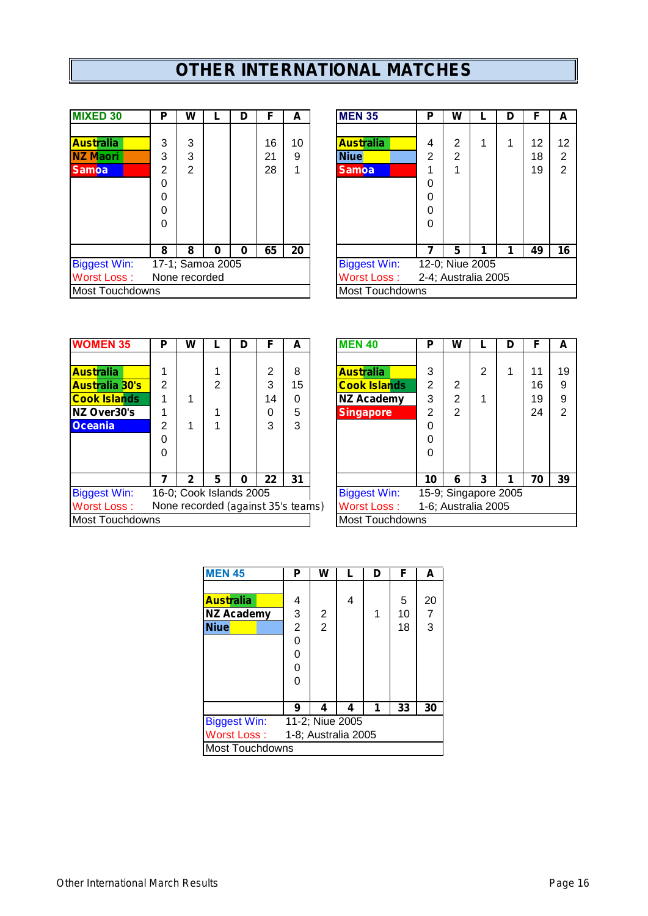# **OTHER INTERNATIONAL MATCHES**

| <b>MIXED 30</b>        | Р | W             |                  | D | F  | А  | <b>MEN 35</b>          | Р              | W |                     | D | F  |
|------------------------|---|---------------|------------------|---|----|----|------------------------|----------------|---|---------------------|---|----|
|                        |   |               |                  |   |    |    |                        |                |   |                     |   |    |
| <b>Australia</b>       | 3 | 3             |                  |   | 16 | 10 | <b>Australia</b>       | 4              | 2 | 1                   |   | 12 |
| <b>NZ Maori</b>        | 3 | 3             |                  |   | 21 | 9  | <b>Niue</b>            | $\overline{2}$ | 2 |                     |   | 18 |
| <b>Samoa</b>           | 2 | 2             |                  |   | 28 |    | <b>Samoa</b>           |                |   |                     |   | 19 |
|                        | 0 |               |                  |   |    |    |                        | 0              |   |                     |   |    |
|                        | 0 |               |                  |   |    |    |                        | 0              |   |                     |   |    |
|                        | 0 |               |                  |   |    |    |                        | $\Omega$       |   |                     |   |    |
|                        | 0 |               |                  |   |    |    |                        | $\Omega$       |   |                     |   |    |
|                        |   |               |                  |   |    |    |                        |                |   |                     |   |    |
|                        | 8 | 8             | 0                | 0 | 65 | 20 |                        |                | 5 | 1                   | 1 | 49 |
| <b>Biggest Win:</b>    |   |               | 17-1; Samoa 2005 |   |    |    | <b>Biggest Win:</b>    |                |   | 12-0; Niue 2005     |   |    |
| <b>Worst Loss:</b>     |   | None recorded |                  |   |    |    | <b>Worst Loss:</b>     |                |   | 2-4; Australia 2005 |   |    |
| <b>Most Touchdowns</b> |   |               |                  |   |    |    | <b>Most Touchdowns</b> |                |   |                     |   |    |

| <b>MIXED 30</b>     | P | W              |                  | D | F  | A  | <b>MEN 35</b>          | Р | w                   | D | F  | A  |
|---------------------|---|----------------|------------------|---|----|----|------------------------|---|---------------------|---|----|----|
|                     |   |                |                  |   |    |    |                        |   |                     |   |    |    |
| <b>Australia</b>    | 3 | 3              |                  |   | 16 | 10 | <b>Australia</b>       | 4 | 2                   |   | 12 | 12 |
| NZ Maori            | 3 | 3              |                  |   | 21 | 9  | <b>Niue</b>            | 2 | 2                   |   | 18 | 2  |
| <b>Samoa</b>        | 2 | $\overline{2}$ |                  |   | 28 | 4  | <b>Samoa</b>           |   | 4                   |   | 19 | 2  |
|                     | 0 |                |                  |   |    |    |                        | 0 |                     |   |    |    |
|                     | 0 |                |                  |   |    |    |                        | 0 |                     |   |    |    |
|                     | 0 |                |                  |   |    |    |                        | 0 |                     |   |    |    |
|                     | 0 |                |                  |   |    |    |                        | 0 |                     |   |    |    |
|                     |   |                |                  |   |    |    |                        |   |                     |   |    |    |
|                     | 8 | 8              | 0                | 0 | 65 | 20 |                        |   | 5                   |   | 49 | 16 |
| <b>Biggest Win:</b> |   |                | 17-1; Samoa 2005 |   |    |    | <b>Biggest Win:</b>    |   | 12-0; Niue 2005     |   |    |    |
| Worst Loss :        |   | None recorded  |                  |   |    |    | Worst Loss:            |   | 2-4; Australia 2005 |   |    |    |
| Most Touchdowns     |   |                |                  |   |    |    | <b>Most Touchdowns</b> |   |                     |   |    |    |
|                     |   |                |                  |   |    |    |                        |   |                     |   |    |    |

| <b>IWOMEN 35</b>       | Р | w |                                    | D |    | A  | <b>MEN 40</b>          | Р  | w |                      | D |    | A  |
|------------------------|---|---|------------------------------------|---|----|----|------------------------|----|---|----------------------|---|----|----|
|                        |   |   |                                    |   |    |    |                        |    |   |                      |   |    |    |
| <b>Australia</b>       |   |   |                                    |   | າ  | 8  | <b>Australia</b>       | 3  |   | າ                    |   | 11 | 19 |
| <b>Australia 30's</b>  | 2 |   | 2                                  |   | 3  | 15 | <b>Cook Islands</b>    | 2  | 2 |                      |   | 16 | 9  |
| <b>Cook Islands</b>    |   |   |                                    |   | 14 | 0  | <b>NZ Academy</b>      | 3  | 2 |                      |   | 19 | 9  |
| NZ Over30's            |   |   |                                    |   |    | 5  | <b>Singapore</b>       | 2  | っ |                      |   | 24 | 2  |
| <b>Oceania</b>         | 2 |   |                                    |   | 3  | 3  |                        | 0  |   |                      |   |    |    |
|                        | 0 |   |                                    |   |    |    |                        | 0  |   |                      |   |    |    |
|                        | 0 |   |                                    |   |    |    |                        | 0  |   |                      |   |    |    |
|                        |   |   |                                    |   |    |    |                        |    |   |                      |   |    |    |
|                        |   | 2 | 5                                  | 0 | 22 | 31 |                        | 10 | 6 | 3                    |   | 70 | 39 |
| <b>Biggest Win:</b>    |   |   | 16-0; Cook Islands 2005            |   |    |    | <b>Biggest Win:</b>    |    |   | 15-9; Singapore 2005 |   |    |    |
| Worst Loss:            |   |   | None recorded (against 35's teams) |   |    |    | <b>Worst Loss:</b>     |    |   | 1-6; Australia 2005  |   |    |    |
| <b>Most Touchdowns</b> |   |   |                                    |   |    |    | <b>Most Touchdowns</b> |    |   |                      |   |    |    |
|                        |   |   |                                    |   |    |    |                        |    |   |                      |   |    |    |

| <b>WOMEN 35</b>     | P              | W |                         | D | F                                  | A  | <b>MEN 40</b>       | Р  | W |                     | D                    | F  | A              |
|---------------------|----------------|---|-------------------------|---|------------------------------------|----|---------------------|----|---|---------------------|----------------------|----|----------------|
|                     |                |   |                         |   |                                    |    |                     |    |   |                     |                      |    |                |
| <b>Australia</b>    |                |   |                         |   | 2                                  | 8  | <b>Australia</b>    | 3  |   | 2                   |                      | 11 | 19             |
| Australia 30's      | $\overline{2}$ |   | 2                       |   | 3                                  | 15 | <b>Cook Islands</b> | 2  | 2 |                     |                      | 16 | 9              |
| <b>Cook Islands</b> |                |   |                         |   | 14                                 | 0  | <b>NZ Academy</b>   | 3  | 2 |                     |                      | 19 | 9              |
| <b>NZ Over30's</b>  |                |   |                         |   | 0                                  | 5  | <b>Singapore</b>    | 2  | 2 |                     |                      | 24 | $\overline{2}$ |
| <b>Oceania</b>      | 2              |   |                         |   | 3                                  | 3  |                     | 0  |   |                     |                      |    |                |
|                     | 0              |   |                         |   |                                    |    |                     | 0  |   |                     |                      |    |                |
|                     | 0              |   |                         |   |                                    |    |                     | 0  |   |                     |                      |    |                |
|                     |                |   |                         |   |                                    |    |                     |    |   |                     |                      |    |                |
|                     |                | 2 | 5                       | 0 | 22                                 | 31 |                     | 10 | 6 | 3                   |                      | 70 | 39             |
| <b>Biggest Win:</b> |                |   | 16-0; Cook Islands 2005 |   |                                    |    | <b>Biggest Win:</b> |    |   |                     | 15-9; Singapore 2005 |    |                |
| <b>Worst Loss:</b>  |                |   |                         |   | None recorded (against 35's teams) |    | <b>Worst Loss:</b>  |    |   | 1-6; Australia 2005 |                      |    |                |
| Most Touchdowns     |                |   |                         |   |                                    |    | Most Touchdowns     |    |   |                     |                      |    |                |
|                     |                |   |                         |   |                                    |    |                     |    |   |                     |                      |    |                |

| <b>MEN 45</b>       | Ρ              | w                   | L | D | F  | A              |  |  |
|---------------------|----------------|---------------------|---|---|----|----------------|--|--|
|                     |                |                     |   |   |    |                |  |  |
| <b>Australia</b>    | 4              |                     | 4 |   | 5  | 20             |  |  |
| <b>NZ Academy</b>   | 3              | 2                   |   | 1 | 10 | $\overline{7}$ |  |  |
| <b>Niue</b>         | $\overline{2}$ | $\overline{2}$      |   |   | 18 | 3              |  |  |
|                     | 0              |                     |   |   |    |                |  |  |
|                     | 0              |                     |   |   |    |                |  |  |
|                     | 0              |                     |   |   |    |                |  |  |
|                     | 0              |                     |   |   |    |                |  |  |
|                     |                |                     |   |   |    |                |  |  |
|                     | 9              | 4                   | 4 | 1 | 33 | 30             |  |  |
| <b>Biggest Win:</b> |                | 11-2; Niue 2005     |   |   |    |                |  |  |
| Worst Loss:         |                | 1-8; Australia 2005 |   |   |    |                |  |  |
| Most Touchdowns     |                |                     |   |   |    |                |  |  |